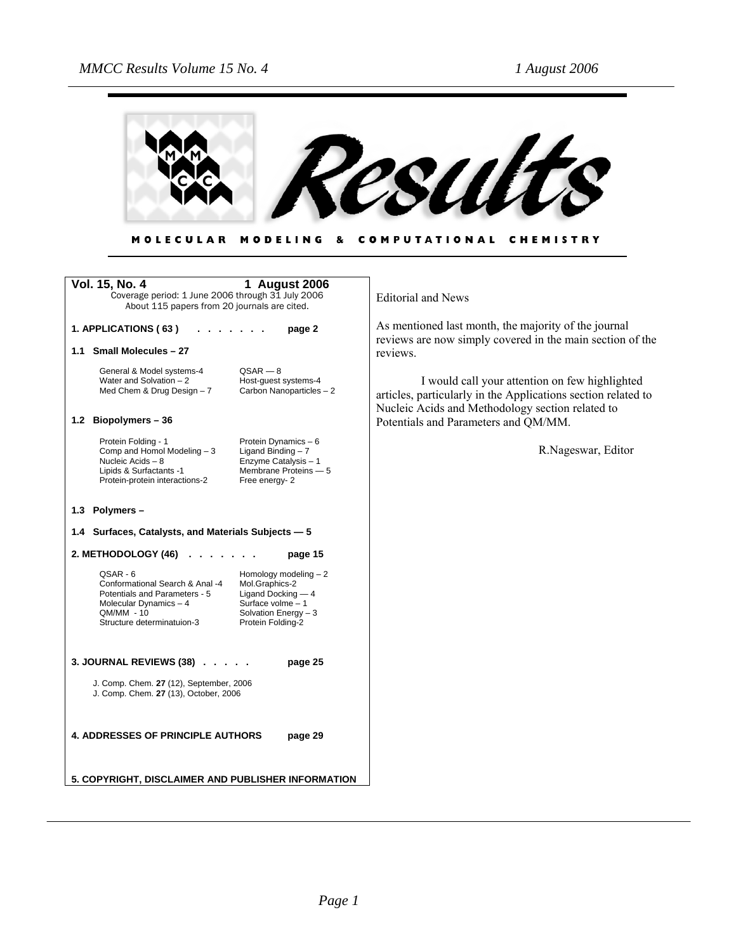

MOLECULAR MODELING & COMPUTATIONAL CHEMISTRY

| Vol. 15, No. 4<br>1 August 2006<br>Coverage period: 1 June 2006 through 31 July 2006<br>About 115 papers from 20 journals are cited.                                                                                                                                                      | <b>Editorial and News</b>                                                                                                                                           |
|-------------------------------------------------------------------------------------------------------------------------------------------------------------------------------------------------------------------------------------------------------------------------------------------|---------------------------------------------------------------------------------------------------------------------------------------------------------------------|
| 1. APPLICATIONS (63)<br>page 2                                                                                                                                                                                                                                                            | As mentioned last month, the majority of the journal<br>reviews are now simply covered in the main section of the                                                   |
| 1.1 Small Molecules - 27                                                                                                                                                                                                                                                                  | reviews.                                                                                                                                                            |
| $QSAR - 8$<br>General & Model systems-4<br>Water and Solvation $-2$<br>Host-quest systems-4<br>Carbon Nanoparticles - 2<br>Med Chem & Drug Design $-7$                                                                                                                                    | I would call your attention on few highlighted<br>articles, particularly in the Applications section related to<br>Nucleic Acids and Methodology section related to |
| 1.2 Biopolymers - 36                                                                                                                                                                                                                                                                      | Potentials and Parameters and QM/MM.                                                                                                                                |
| Protein Folding - 1<br>Protein Dynamics - 6<br>Comp and Homol Modeling - 3<br>Ligand Binding $-7$<br>Enzyme Catalysis - 1<br>Nucleic Acids - 8<br>Lipids & Surfactants -1<br>Membrane Proteins - 5<br>Protein-protein interactions-2<br>Free energy-2                                     | R.Nageswar, Editor                                                                                                                                                  |
| 1.3 Polymers -                                                                                                                                                                                                                                                                            |                                                                                                                                                                     |
| 1.4 Surfaces, Catalysts, and Materials Subjects - 5                                                                                                                                                                                                                                       |                                                                                                                                                                     |
| 2. METHODOLOGY $(46)$<br>page 15                                                                                                                                                                                                                                                          |                                                                                                                                                                     |
| Homology modeling $-2$<br>QSAR - 6<br>Conformational Search & Anal -4<br>Mol.Graphics-2<br>Potentials and Parameters - 5<br>Ligand Docking $-4$<br>Molecular Dynamics - 4<br>Surface volme $-1$<br>QM/MM - 10<br>Solvation Energy $-3$<br>Structure determinatuion-3<br>Protein Folding-2 |                                                                                                                                                                     |
| 3. JOURNAL REVIEWS (38)<br>page 25                                                                                                                                                                                                                                                        |                                                                                                                                                                     |
| J. Comp. Chem. 27 (12), September, 2006<br>J. Comp. Chem. 27 (13), October, 2006                                                                                                                                                                                                          |                                                                                                                                                                     |
| <b>4. ADDRESSES OF PRINCIPLE AUTHORS</b><br>page 29                                                                                                                                                                                                                                       |                                                                                                                                                                     |
| 5. COPYRIGHT, DISCLAIMER AND PUBLISHER INFORMATION                                                                                                                                                                                                                                        |                                                                                                                                                                     |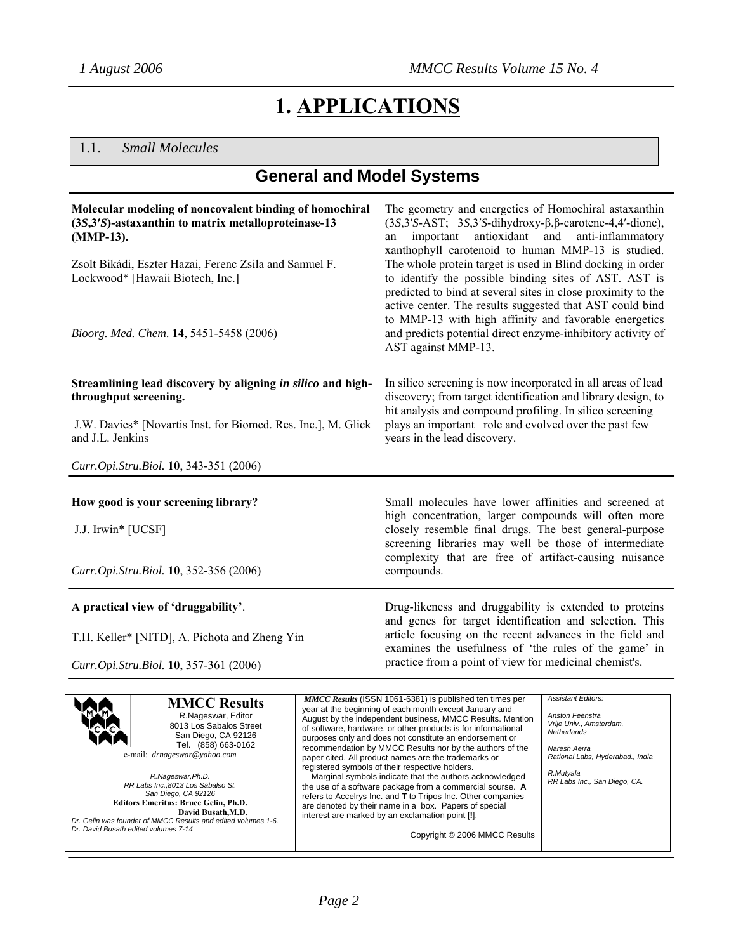# **1. APPLICATIONS**

## 1.1. *Small Molecules*

## **General and Model Systems**

| (MMP-13).             | Molecular modeling of noncovalent binding of homochiral<br>(3S,3'S)-astaxanthin to matrix metalloproteinase-13 | The geometry and energetics of Homochiral astaxanthin<br>$(3S, 3'S-AST; 3S, 3'S-dihydroxy-\beta, \beta-carotene-4, 4'-dione)$<br>antioxidant and<br>important<br>an                                                                                                                                   | anti-inflammatory         |
|-----------------------|----------------------------------------------------------------------------------------------------------------|-------------------------------------------------------------------------------------------------------------------------------------------------------------------------------------------------------------------------------------------------------------------------------------------------------|---------------------------|
|                       | Zsolt Bikádi, Eszter Hazai, Ferenc Zsila and Samuel F.<br>Lockwood* [Hawaii Biotech, Inc.]                     | xanthophyll carotenoid to human MMP-13 is studied.<br>The whole protein target is used in Blind docking in order<br>to identify the possible binding sites of AST. AST is<br>predicted to bind at several sites in close proximity to the<br>active center. The results suggested that AST could bind |                           |
|                       | Bioorg. Med. Chem. 14, 5451-5458 (2006)                                                                        | to MMP-13 with high affinity and favorable energetics<br>and predicts potential direct enzyme-inhibitory activity of<br>AST against MMP-13.                                                                                                                                                           |                           |
| throughput screening. | Streamlining lead discovery by aligning in silico and high-                                                    | In silico screening is now incorporated in all areas of lead<br>discovery; from target identification and library design, to<br>hit analysis and compound profiling. In silico screening                                                                                                              |                           |
| and J.L. Jenkins      | J.W. Davies* [Novartis Inst. for Biomed. Res. Inc.], M. Glick                                                  | plays an important role and evolved over the past few<br>years in the lead discovery.                                                                                                                                                                                                                 |                           |
|                       | Curr.Opi.Stru.Biol. 10, 343-351 (2006)                                                                         |                                                                                                                                                                                                                                                                                                       |                           |
|                       | How good is your screening library?                                                                            | Small molecules have lower affinities and screened at<br>high concentration, larger compounds will often more                                                                                                                                                                                         |                           |
| J.J. Irwin* [UCSF]    |                                                                                                                | closely resemble final drugs. The best general-purpose<br>screening libraries may well be those of intermediate                                                                                                                                                                                       |                           |
|                       | Curr.Opi.Stru.Biol. 10, 352-356 (2006)                                                                         | complexity that are free of artifact-causing nuisance<br>compounds.                                                                                                                                                                                                                                   |                           |
|                       | A practical view of 'druggability'.                                                                            | Drug-likeness and druggability is extended to proteins<br>and genes for target identification and selection. This                                                                                                                                                                                     |                           |
|                       | T.H. Keller* [NITD], A. Pichota and Zheng Yin                                                                  | article focusing on the recent advances in the field and<br>examines the usefulness of 'the rules of the game' in                                                                                                                                                                                     |                           |
|                       | Curr.Opi.Stru.Biol. 10, 357-361 (2006)                                                                         | practice from a point of view for medicinal chemist's.                                                                                                                                                                                                                                                |                           |
|                       | <b>MMCC Results</b>                                                                                            | MMCC Results (ISSN 1061-6381) is published ten times per<br>year at the beginning of each month except January and                                                                                                                                                                                    | <b>Assistant Editors:</b> |

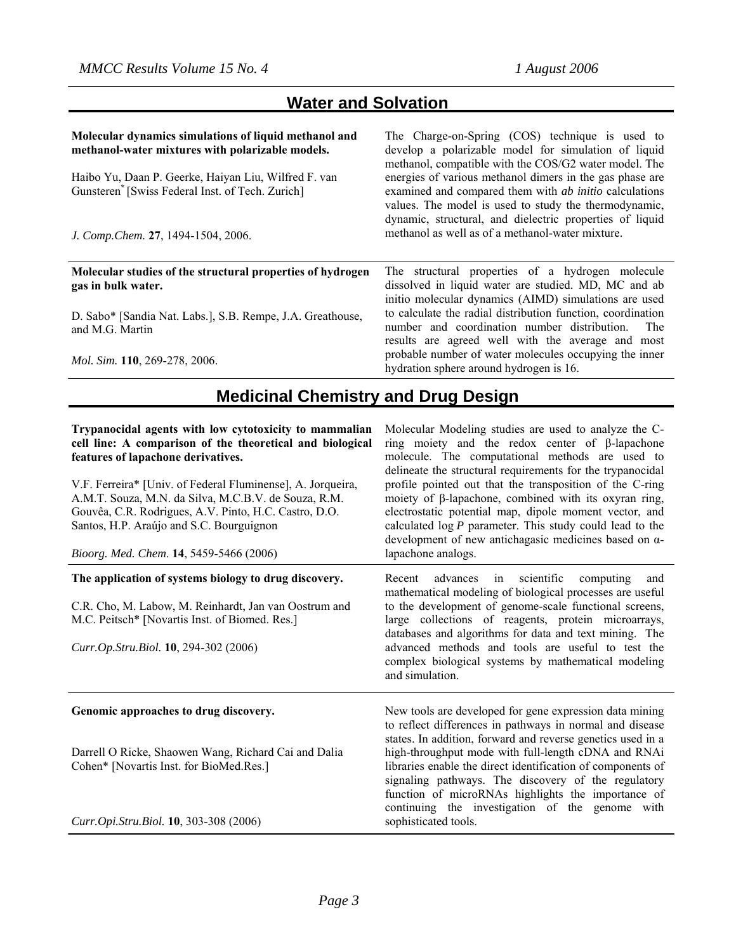## **Water and Solvation**

| Molecular dynamics simulations of liquid methanol and<br>methanol-water mixtures with polarizable models.<br>Haibo Yu, Daan P. Geerke, Haiyan Liu, Wilfred F. van<br>Gunsteren <sup>®</sup> [Swiss Federal Inst. of Tech. Zurich]<br>J. Comp. Chem. 27, 1494-1504, 2006. | The Charge-on-Spring (COS) technique is used to<br>develop a polarizable model for simulation of liquid<br>methanol, compatible with the COS/G2 water model. The<br>energies of various methanol dimers in the gas phase are<br>examined and compared them with <i>ab initio</i> calculations<br>values. The model is used to study the thermodynamic,<br>dynamic, structural, and dielectric properties of liquid<br>methanol as well as of a methanol-water mixture. |  |
|--------------------------------------------------------------------------------------------------------------------------------------------------------------------------------------------------------------------------------------------------------------------------|------------------------------------------------------------------------------------------------------------------------------------------------------------------------------------------------------------------------------------------------------------------------------------------------------------------------------------------------------------------------------------------------------------------------------------------------------------------------|--|
| Molecular studies of the structural properties of hydrogen<br>gas in bulk water.<br>D. Sabo* [Sandia Nat. Labs.], S.B. Rempe, J.A. Greathouse,                                                                                                                           | The structural properties of a hydrogen molecule<br>dissolved in liquid water are studied. MD, MC and ab<br>initio molecular dynamics (AIMD) simulations are used<br>to calculate the radial distribution function, coordination                                                                                                                                                                                                                                       |  |
| and M.G. Martin<br>Mol. Sim. 110, 269-278, 2006.                                                                                                                                                                                                                         | number and coordination number distribution.<br>The<br>results are agreed well with the average and most<br>probable number of water molecules occupying the inner<br>hydration sphere around hydrogen is 16.                                                                                                                                                                                                                                                          |  |
| <b>Medicinal Chemistry and Drug Design</b>                                                                                                                                                                                                                               |                                                                                                                                                                                                                                                                                                                                                                                                                                                                        |  |
| Trypanocidal agents with low cytotoxicity to mammalian<br>cell line: A comparison of the theoretical and biological<br>features of lapachone derivatives.                                                                                                                | Molecular Modeling studies are used to analyze the C-<br>ring moiety and the redox center of $\beta$ -lapachone<br>molecule. The computational methods are used to                                                                                                                                                                                                                                                                                                     |  |

V.F. Ferreira\* [Univ. of Federal Fluminense], A. Jorqueira, A.M.T. Souza, M.N. da Silva, M.C.B.V. de Souza, R.M. Gouvêa, C.R. Rodrigues, A.V. Pinto, H.C. Castro, D.O. Santos, H.P. Araújo and S.C. Bourguignon

*Bioorg. Med. Chem*. **14**, 5459-5466 (2006)

#### **The application of systems biology to drug discovery.**

C.R. Cho, M. Labow, M. Reinhardt, Jan van Oostrum and M.C. Peitsch\* [Novartis Inst. of Biomed. Res.]

*Curr.Op.Stru.Biol.* **10**, 294-302 (2006)

#### **Genomic approaches to drug discovery.**

Darrell O Ricke, Shaowen Wang, Richard Cai and Dalia Cohen\* [Novartis Inst. for BioMed.Res.]

*Curr.Opi.Stru.Biol.* **10**, 303-308 (2006)

delineate the structural requirements for the trypanocidal profile pointed out that the transposition of the C-ring moiety of β-lapachone, combined with its oxyran ring, electrostatic potential map, dipole moment vector, and calculated log *P* parameter. This study could lead to the development of new antichagasic medicines based on αlapachone analogs.

Recent advances in scientific computing and mathematical modeling of biological processes are useful to the development of genome-scale functional screens, large collections of reagents, protein microarrays, databases and algorithms for data and text mining. The advanced methods and tools are useful to test the complex biological systems by mathematical modeling and simulation.

New tools are developed for gene expression data mining to reflect differences in pathways in normal and disease states. In addition, forward and reverse genetics used in a high-throughput mode with full-length cDNA and RNAi libraries enable the direct identification of components of signaling pathways. The discovery of the regulatory function of microRNAs highlights the importance of continuing the investigation of the genome with sophisticated tools.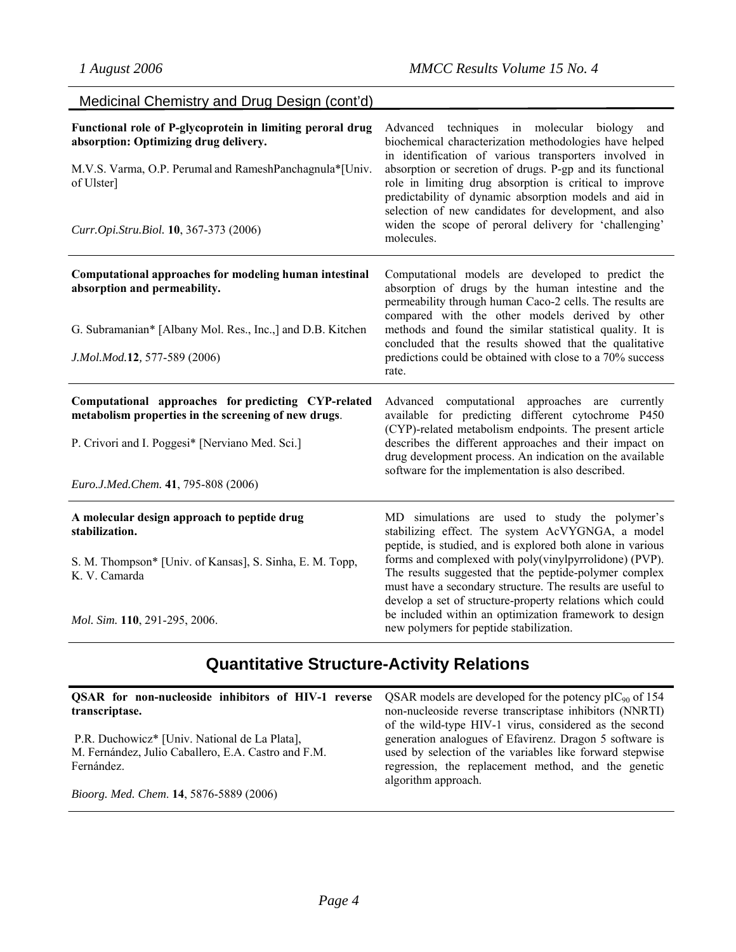| Medicinal Chemistry and Drug Design (cont'd)                                                                                                                                                                           |                                                                                                                                                                                                                                                                                                                                                                                                                                                                                                                      |
|------------------------------------------------------------------------------------------------------------------------------------------------------------------------------------------------------------------------|----------------------------------------------------------------------------------------------------------------------------------------------------------------------------------------------------------------------------------------------------------------------------------------------------------------------------------------------------------------------------------------------------------------------------------------------------------------------------------------------------------------------|
| Functional role of P-glycoprotein in limiting peroral drug<br>absorption: Optimizing drug delivery.<br>M.V.S. Varma, O.P. Perumal and RameshPanchagnula*[Univ.<br>of Ulster]<br>Curr.Opi.Stru.Biol. 10, 367-373 (2006) | Advanced techniques in molecular biology<br>and<br>biochemical characterization methodologies have helped<br>in identification of various transporters involved in<br>absorption or secretion of drugs. P-gp and its functional<br>role in limiting drug absorption is critical to improve<br>predictability of dynamic absorption models and aid in<br>selection of new candidates for development, and also<br>widen the scope of peroral delivery for 'challenging'<br>molecules.                                 |
| Computational approaches for modeling human intestinal<br>absorption and permeability.<br>G. Subramanian* [Albany Mol. Res., Inc.,] and D.B. Kitchen<br>J.Mol.Mod.12, 577-589 (2006)                                   | Computational models are developed to predict the<br>absorption of drugs by the human intestine and the<br>permeability through human Caco-2 cells. The results are<br>compared with the other models derived by other<br>methods and found the similar statistical quality. It is<br>concluded that the results showed that the qualitative<br>predictions could be obtained with close to a 70% success<br>rate.                                                                                                   |
| Computational approaches for predicting CYP-related<br>metabolism properties in the screening of new drugs.<br>P. Crivori and I. Poggesi* [Nerviano Med. Sci.]<br>Euro.J.Med.Chem. 41, 795-808 (2006)                  | Advanced computational approaches are currently<br>available for predicting different cytochrome P450<br>(CYP)-related metabolism endpoints. The present article<br>describes the different approaches and their impact on<br>drug development process. An indication on the available<br>software for the implementation is also described.                                                                                                                                                                         |
| A molecular design approach to peptide drug<br>stabilization.<br>S. M. Thompson* [Univ. of Kansas], S. Sinha, E. M. Topp,<br>K. V. Camarda<br>Mol. Sim. 110, 291-295, 2006.                                            | MD simulations are used to study the polymer's<br>stabilizing effect. The system AcVYGNGA, a model<br>peptide, is studied, and is explored both alone in various<br>forms and complexed with poly(vinylpyrrolidone) (PVP).<br>The results suggested that the peptide-polymer complex<br>must have a secondary structure. The results are useful to<br>develop a set of structure-property relations which could<br>be included within an optimization framework to design<br>new polymers for peptide stabilization. |

# **Quantitative Structure-Activity Relations**

| <b>QSAR</b> for non-nucleoside inhibitors of HIV-1 reverse<br>transcriptase.                                       | QSAR models are developed for the potency $\text{pIC}_{90}$ of 154<br>non-nucleoside reverse transcriptase inhibitors (NNRTI)                                                                                                                               |
|--------------------------------------------------------------------------------------------------------------------|-------------------------------------------------------------------------------------------------------------------------------------------------------------------------------------------------------------------------------------------------------------|
| P.R. Duchowicz* [Univ. National de La Plata],<br>M. Fernández, Julio Caballero, E.A. Castro and F.M.<br>Fernández. | of the wild-type HIV-1 virus, considered as the second<br>generation analogues of Efavirenz. Dragon 5 software is<br>used by selection of the variables like forward stepwise<br>regression, the replacement method, and the genetic<br>algorithm approach. |
| Bioorg. Med. Chem. 14, 5876-5889 (2006)                                                                            |                                                                                                                                                                                                                                                             |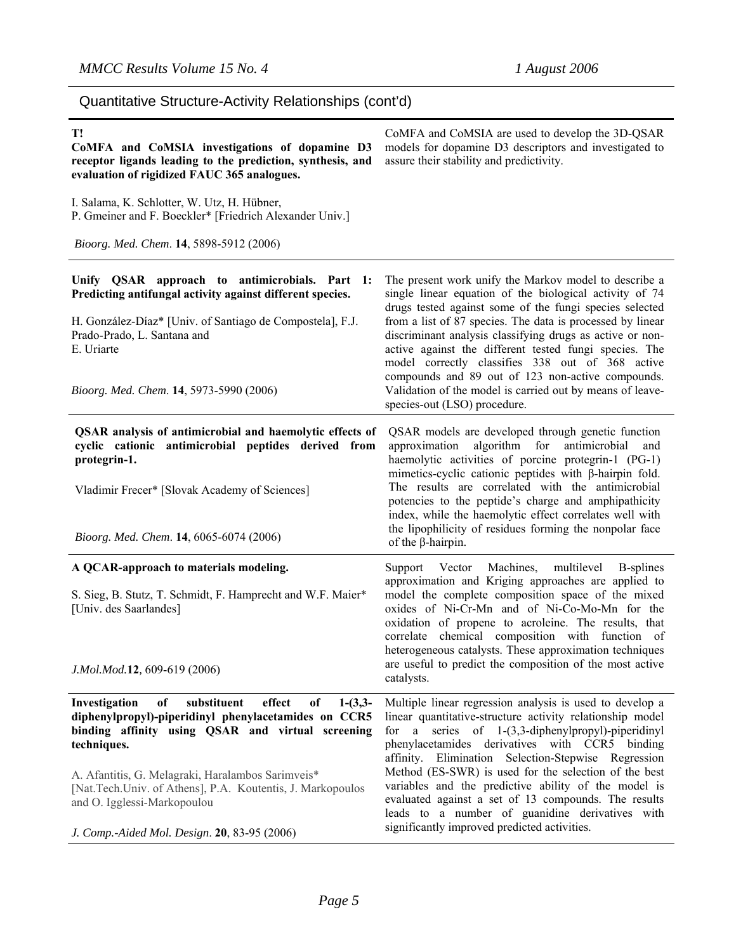| Quantitative Structure-Activity Relationships (cont'd)                                                                                                                                      |                                                                                                                                                                                                                                                                                         |  |
|---------------------------------------------------------------------------------------------------------------------------------------------------------------------------------------------|-----------------------------------------------------------------------------------------------------------------------------------------------------------------------------------------------------------------------------------------------------------------------------------------|--|
| T!<br>CoMFA and CoMSIA investigations of dopamine D3<br>receptor ligands leading to the prediction, synthesis, and<br>evaluation of rigidized FAUC 365 analogues.                           | CoMFA and CoMSIA are used to develop the 3D-QSAR<br>models for dopamine D3 descriptors and investigated to<br>assure their stability and predictivity.                                                                                                                                  |  |
| I. Salama, K. Schlotter, W. Utz, H. Hübner,<br>P. Gmeiner and F. Boeckler* [Friedrich Alexander Univ.]                                                                                      |                                                                                                                                                                                                                                                                                         |  |
| Bioorg. Med. Chem. 14, 5898-5912 (2006)                                                                                                                                                     |                                                                                                                                                                                                                                                                                         |  |
| Unify QSAR approach to antimicrobials. Part 1:<br>Predicting antifungal activity against different species.                                                                                 | The present work unify the Markov model to describe a<br>single linear equation of the biological activity of 74<br>drugs tested against some of the fungi species selected                                                                                                             |  |
| H. González-Díaz* [Univ. of Santiago de Compostela], F.J.<br>Prado-Prado, L. Santana and<br>E. Uriarte                                                                                      | from a list of 87 species. The data is processed by linear<br>discriminant analysis classifying drugs as active or non-<br>active against the different tested fungi species. The<br>model correctly classifies 338 out of 368 active                                                   |  |
| Bioorg. Med. Chem. 14, 5973-5990 (2006)                                                                                                                                                     | compounds and 89 out of 123 non-active compounds.<br>Validation of the model is carried out by means of leave-<br>species-out (LSO) procedure.                                                                                                                                          |  |
| QSAR analysis of antimicrobial and haemolytic effects of<br>cyclic cationic antimicrobial peptides derived from<br>protegrin-1.                                                             | QSAR models are developed through genetic function<br>algorithm for<br>antimicrobial<br>approximation<br>and<br>haemolytic activities of porcine protegrin-1 (PG-1)<br>mimetics-cyclic cationic peptides with $\beta$ -hairpin fold.                                                    |  |
| Vladimir Frecer* [Slovak Academy of Sciences]                                                                                                                                               | The results are correlated with the antimicrobial<br>potencies to the peptide's charge and amphipathicity<br>index, while the haemolytic effect correlates well with<br>the lipophilicity of residues forming the nonpolar face                                                         |  |
| Bioorg. Med. Chem. 14, 6065-6074 (2006)                                                                                                                                                     | of the $\beta$ -hairpin.                                                                                                                                                                                                                                                                |  |
| A QCAR-approach to materials modeling.                                                                                                                                                      | Machines,<br>multilevel<br>Vector<br>B-splines<br>Support<br>approximation and Kriging approaches are applied to                                                                                                                                                                        |  |
| S. Sieg, B. Stutz, T. Schmidt, F. Hamprecht and W.F. Maier*<br>[Univ. des Saarlandes]                                                                                                       | model the complete composition space of the mixed<br>oxides of Ni-Cr-Mn and of Ni-Co-Mo-Mn for the<br>oxidation of propene to acroleine. The results, that<br>correlate chemical composition with function of<br>heterogeneous catalysts. These approximation techniques                |  |
| J.Mol.Mod.12, 609-619 (2006)                                                                                                                                                                | are useful to predict the composition of the most active<br>catalysts.                                                                                                                                                                                                                  |  |
| Investigation<br>substituent<br>effect<br>of<br>$1-(3,3-$<br>of<br>diphenylpropyl)-piperidinyl phenylacetamides on CCR5<br>binding affinity using QSAR and virtual screening<br>techniques. | Multiple linear regression analysis is used to develop a<br>linear quantitative-structure activity relationship model<br>a series of 1-(3,3-diphenylpropyl)-piperidinyl<br>for<br>phenylacetamides derivatives with CCR5 binding<br>affinity. Elimination Selection-Stepwise Regression |  |
| A. Afantitis, G. Melagraki, Haralambos Sarimveis*<br>[Nat.Tech.Univ. of Athens], P.A. Koutentis, J. Markopoulos<br>and O. Igglessi-Markopoulou                                              | Method (ES-SWR) is used for the selection of the best<br>variables and the predictive ability of the model is<br>evaluated against a set of 13 compounds. The results<br>leads to a number of guanidine derivatives with<br>significantly improved predicted activities.                |  |
| J. Comp.-Aided Mol. Design 20 83-95 (2006)                                                                                                                                                  |                                                                                                                                                                                                                                                                                         |  |

*J. Comp.-Aided Mol. Design*. **20**, 83-95 (2006)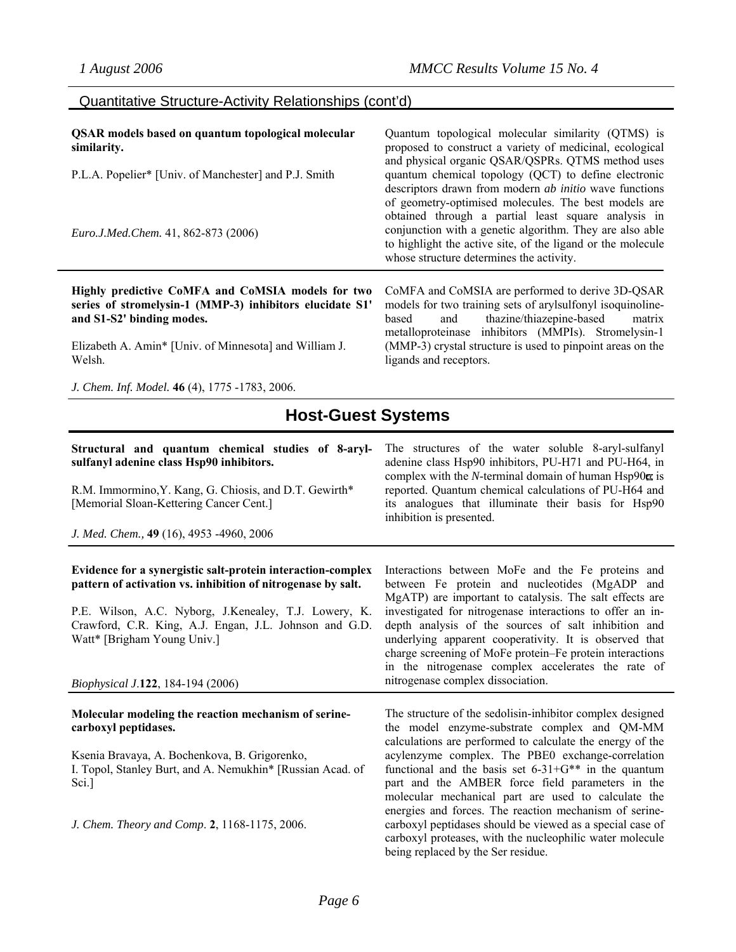### Quantitative Structure-Activity Relationships (cont'd)

| <b>QSAR</b> models based on quantum topological molecular<br>similarity.<br>P.L.A. Popelier* [Univ. of Manchester] and P.J. Smith<br>Euro.J.Med.Chem. 41, 862-873 (2006)                                       | Quantum topological molecular similarity (QTMS) is<br>proposed to construct a variety of medicinal, ecological<br>and physical organic QSAR/QSPRs. QTMS method uses<br>quantum chemical topology (QCT) to define electronic<br>descriptors drawn from modern <i>ab initio</i> wave functions<br>of geometry-optimised molecules. The best models are<br>obtained through a partial least square analysis in<br>conjunction with a genetic algorithm. They are also able<br>to highlight the active site, of the ligand or the molecule<br>whose structure determines the activity. |
|----------------------------------------------------------------------------------------------------------------------------------------------------------------------------------------------------------------|------------------------------------------------------------------------------------------------------------------------------------------------------------------------------------------------------------------------------------------------------------------------------------------------------------------------------------------------------------------------------------------------------------------------------------------------------------------------------------------------------------------------------------------------------------------------------------|
| Highly predictive CoMFA and CoMSIA models for two<br>series of stromelysin-1 (MMP-3) inhibitors elucidate S1'<br>and S1-S2' binding modes.<br>Elizabeth A. Amin* [Univ. of Minnesota] and William J.<br>Welsh. | CoMFA and CoMSIA are performed to derive 3D-QSAR<br>models for two training sets of arylsulfonyl isoquinoline-<br>thazine/thiazepine-based<br>based<br>and<br>matrix<br>metalloproteinase inhibitors (MMPIs). Stromelysin-1<br>(MMP-3) crystal structure is used to pinpoint areas on the<br>ligands and receptors.                                                                                                                                                                                                                                                                |
| J. Chem. Inf. Model. 46 (4), 1775 -1783, 2006.                                                                                                                                                                 |                                                                                                                                                                                                                                                                                                                                                                                                                                                                                                                                                                                    |

## **Host-Guest Systems**

#### **Structural and quantum chemical studies of 8-arylsulfanyl adenine class Hsp90 inhibitors.**

R.M. Immormino,Y. Kang, G. Chiosis, and D.T. Gewirth\* [Memorial Sloan-Kettering Cancer Cent.]

*J. Med. Chem.,* **49** (16), 4953 -4960, 2006

#### **Evidence for a synergistic salt-protein interaction-complex pattern of activation vs. inhibition of nitrogenase by salt.**

P.E. Wilson, A.C. Nyborg, J.Kenealey, T.J. Lowery, K. Crawford, C.R. King, A.J. Engan, J.L. Johnson and G.D. Watt\* [Brigham Young Univ.]

#### *Biophysical J*.**122**, 184-194 (2006)

#### **Molecular modeling the reaction mechanism of serinecarboxyl peptidases.**

Ksenia Bravaya, A. Bochenkova, B. Grigorenko, I. Topol, Stanley Burt, and A. Nemukhin\* [Russian Acad. of Sci.]

*J. Chem. Theory and Comp*. **2**, 1168-1175, 2006.

its analogues that illuminate their basis for Hsp90 inhibition is presented. Interactions between MoFe and the Fe proteins and

The structures of the water soluble 8-aryl-sulfanyl adenine class Hsp90 inhibitors, PU-H71 and PU-H64, in complex with the  $N$ -terminal domain of human Hsp $90\alpha$  is reported. Quantum chemical calculations of PU-H64 and

between Fe protein and nucleotides (MgADP and MgATP) are important to catalysis. The salt effects are investigated for nitrogenase interactions to offer an indepth analysis of the sources of salt inhibition and underlying apparent cooperativity. It is observed that charge screening of MoFe protein–Fe protein interactions in the nitrogenase complex accelerates the rate of nitrogenase complex dissociation.

The structure of the sedolisin-inhibitor complex designed the model enzyme-substrate complex and QM-MM calculations are performed to calculate the energy of the acylenzyme complex. The PBE0 exchange-correlation functional and the basis set  $6-31+G^{**}$  in the quantum part and the AMBER force field parameters in the molecular mechanical part are used to calculate the energies and forces. The reaction mechanism of serinecarboxyl peptidases should be viewed as a special case of carboxyl proteases, with the nucleophilic water molecule being replaced by the Ser residue.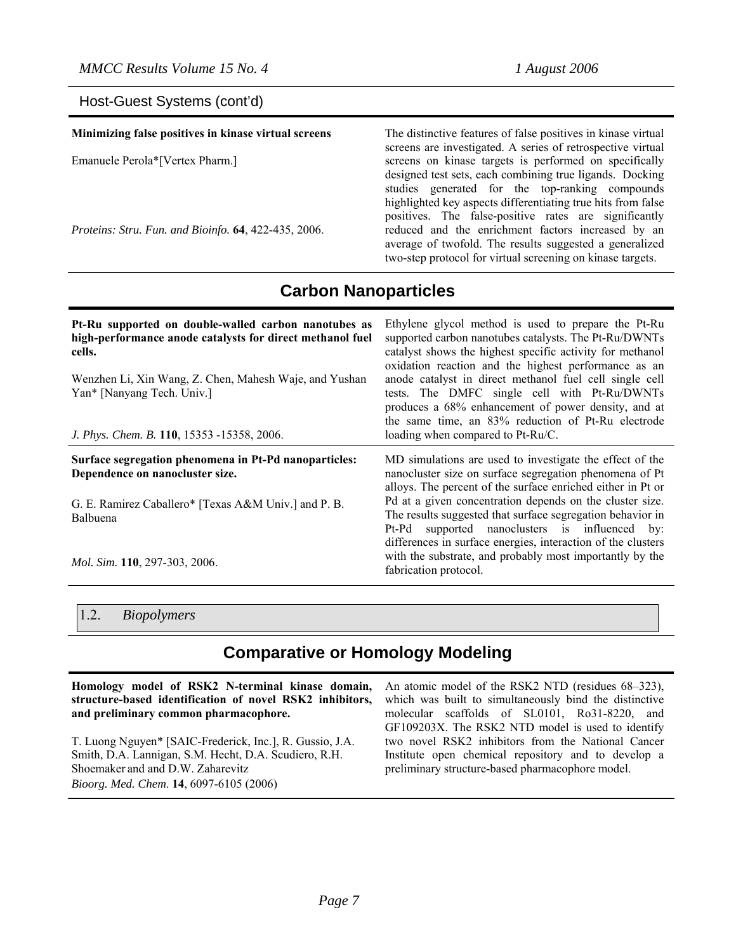### Host-Guest Systems (cont'd)

| Minimizing false positives in kinase virtual screens | The distinctive features of false positives in kinase virtual<br>screens are investigated. A series of retrospective virtual                                                |
|------------------------------------------------------|-----------------------------------------------------------------------------------------------------------------------------------------------------------------------------|
| Emanuele Perola*[Vertex Pharm.]                      | screens on kinase targets is performed on specifically<br>designed test sets, each combining true ligands. Docking<br>studies generated for the top-ranking compounds       |
| Proteins: Stru. Fun. and Bioinfo. 64, 422-435, 2006. | highlighted key aspects differentiating true hits from false<br>positives. The false-positive rates are significantly<br>reduced and the enrichment factors increased by an |
|                                                      | average of twofold. The results suggested a generalized<br>two-step protocol for virtual screening on kinase targets.                                                       |

**Carbon Nanoparticles** 

| Pt-Ru supported on double-walled carbon nanotubes as<br>high-performance anode catalysts for direct methanol fuel<br>cells.<br>Wenzhen Li, Xin Wang, Z. Chen, Mahesh Waje, and Yushan<br>Yan* [Nanyang Tech. Univ.]<br>J. Phys. Chem. B. 110, 15353 -15358, 2006. | Ethylene glycol method is used to prepare the Pt-Ru<br>supported carbon nanotubes catalysts. The Pt-Ru/DWNTs<br>catalyst shows the highest specific activity for methanol<br>oxidation reaction and the highest performance as an<br>anode catalyst in direct methanol fuel cell single cell<br>tests. The DMFC single cell with Pt-Ru/DWNTs<br>produces a 68% enhancement of power density, and at<br>the same time, an 83% reduction of Pt-Ru electrode<br>loading when compared to Pt-Ru/C. |
|-------------------------------------------------------------------------------------------------------------------------------------------------------------------------------------------------------------------------------------------------------------------|------------------------------------------------------------------------------------------------------------------------------------------------------------------------------------------------------------------------------------------------------------------------------------------------------------------------------------------------------------------------------------------------------------------------------------------------------------------------------------------------|
| Surface segregation phenomena in Pt-Pd nanoparticles:<br>Dependence on nanocluster size.                                                                                                                                                                          | MD simulations are used to investigate the effect of the<br>nanocluster size on surface segregation phenomena of Pt<br>alloys. The percent of the surface enriched either in Pt or                                                                                                                                                                                                                                                                                                             |
| G. E. Ramirez Caballero* [Texas A&M Univ.] and P. B.<br><b>Balbuena</b>                                                                                                                                                                                           | Pd at a given concentration depends on the cluster size.<br>The results suggested that surface segregation behavior in<br>supported nanoclusters is influenced by:<br>Pt-Pd                                                                                                                                                                                                                                                                                                                    |
| <i>Mol. Sim.</i> 110, 297-303, 2006.                                                                                                                                                                                                                              | differences in surface energies, interaction of the clusters<br>with the substrate, and probably most importantly by the<br>fabrication protocol.                                                                                                                                                                                                                                                                                                                                              |

1.2. *Biopolymers* 

## **Comparative or Homology Modeling**

**Homology model of RSK2 N-terminal kinase domain, structure-based identification of novel RSK2 inhibitors, and preliminary common pharmacophore.** 

T. Luong Nguyen\* [SAIC-Frederick, Inc.], R. Gussio, J.A. Smith, D.A. Lannigan, S.M. Hecht, D.A. Scudiero, R.H. Shoemaker and and D.W. Zaharevitz *Bioorg. Med. Chem*. **14**, 6097-6105 (2006)

An atomic model of the RSK2 NTD (residues 68–323), which was built to simultaneously bind the distinctive molecular scaffolds of SL0101, Ro31-8220, and GF109203X. The RSK2 NTD model is used to identify two novel RSK2 inhibitors from the National Cancer Institute open chemical repository and to develop a preliminary structure-based pharmacophore model.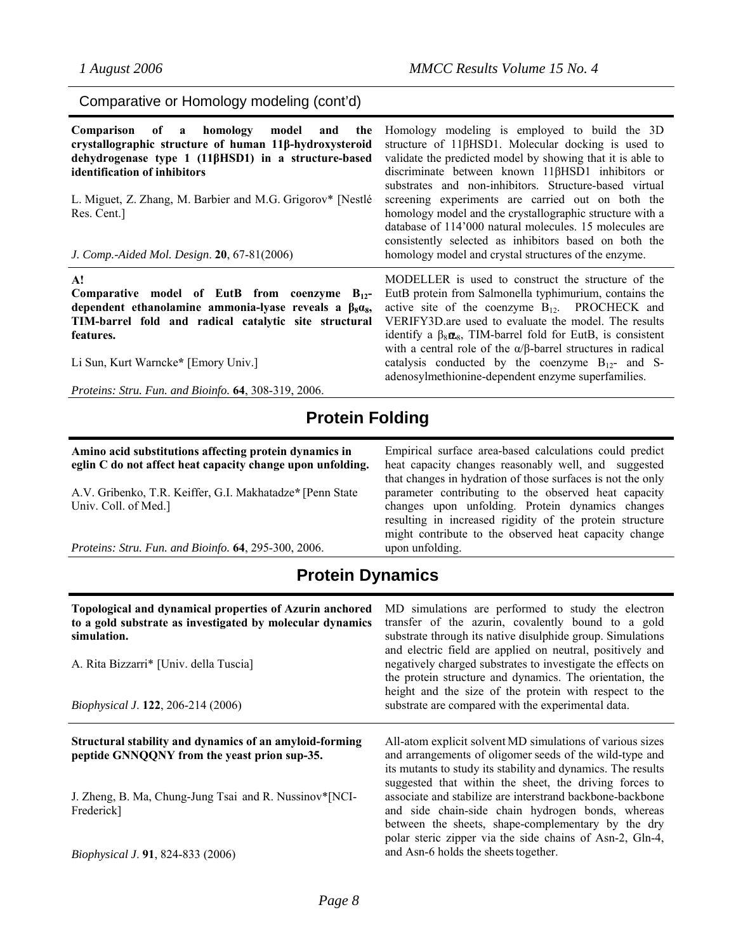Comparative or Homology modeling (cont'd)

| Comparison of a homology model<br>and<br>the<br>crystallographic structure of human 11β-hydroxysteroid<br>dehydrogenase type 1 (11βHSD1) in a structure-based<br>identification of inhibitors<br>L. Miguet, Z. Zhang, M. Barbier and M.G. Grigorov* [Nestlé<br>Res. Cent.]<br>J. Comp.-Aided Mol. Design. 20, 67-81(2006) | Homology modeling is employed to build the 3D<br>structure of 11βHSD1. Molecular docking is used to<br>validate the predicted model by showing that it is able to<br>discriminate between known 11βHSD1 inhibitors or<br>substrates and non-inhibitors. Structure-based virtual<br>screening experiments are carried out on both the<br>homology model and the crystallographic structure with a<br>database of 114'000 natural molecules. 15 molecules are<br>consistently selected as inhibitors based on both the<br>homology model and crystal structures of the enzyme. |
|---------------------------------------------------------------------------------------------------------------------------------------------------------------------------------------------------------------------------------------------------------------------------------------------------------------------------|------------------------------------------------------------------------------------------------------------------------------------------------------------------------------------------------------------------------------------------------------------------------------------------------------------------------------------------------------------------------------------------------------------------------------------------------------------------------------------------------------------------------------------------------------------------------------|
| A!<br>Comparative model of EutB from coenzyme $B_{12}$ -<br>dependent ethanolamine ammonia-lyase reveals a $\beta_8\alpha_8$ ,<br>TIM-barrel fold and radical catalytic site structural<br>features.<br>Li Sun, Kurt Warncke* [Emory Univ.]<br>Proteins: Stru. Fun. and Bioinfo. 64, 308-319, 2006.                       | MODELLER is used to construct the structure of the<br>EutB protein from Salmonella typhimurium, contains the<br>active site of the coenzyme $B_{12}$ . PROCHECK and<br>VERIFY3D are used to evaluate the model. The results<br>identify a $\beta_8 \alpha_8$ , TIM-barrel fold for EutB, is consistent<br>with a central role of the $\alpha/\beta$ -barrel structures in radical<br>catalysis conducted by the coenzyme $B_{12}$ - and S-<br>adenosylmethionine-dependent enzyme superfamilies.                                                                             |

## **Protein Folding**

**Amino acid substitutions affecting protein dynamics in eglin C do not affect heat capacity change upon unfolding.** 

A.V. Gribenko, T.R. Keiffer, G.I. Makhatadze**\*** [Penn State Univ. Coll. of Med.]

*Proteins: Stru. Fun. and Bioinfo.* **64**, 295-300, 2006.

Empirical surface area-based calculations could predict heat capacity changes reasonably well, and suggested that changes in hydration of those surfaces is not the only parameter contributing to the observed heat capacity changes upon unfolding. Protein dynamics changes resulting in increased rigidity of the protein structure might contribute to the observed heat capacity change upon unfolding.

## **Protein Dynamics**

| Topological and dynamical properties of Azurin anchored<br>to a gold substrate as investigated by molecular dynamics<br>simulation.<br>A. Rita Bizzarri* [Univ. della Tuscia]<br><i>Biophysical J.</i> 122, 206-214 (2006) | MD simulations are performed to study the electron<br>transfer of the azurin, covalently bound to a gold<br>substrate through its native disulphide group. Simulations<br>and electric field are applied on neutral, positively and<br>negatively charged substrates to investigate the effects on<br>the protein structure and dynamics. The orientation, the<br>height and the size of the protein with respect to the<br>substrate are compared with the experimental data. |
|----------------------------------------------------------------------------------------------------------------------------------------------------------------------------------------------------------------------------|--------------------------------------------------------------------------------------------------------------------------------------------------------------------------------------------------------------------------------------------------------------------------------------------------------------------------------------------------------------------------------------------------------------------------------------------------------------------------------|
| Structural stability and dynamics of an amyloid-forming<br>peptide GNNQQNY from the yeast prion sup-35.                                                                                                                    | All-atom explicit solvent MD simulations of various sizes<br>and arrangements of oligomer seeds of the wild-type and<br>its mutants to study its stability and dynamics. The results                                                                                                                                                                                                                                                                                           |
| J. Zheng, B. Ma, Chung-Jung Tsai and R. Nussinov*[NCI-<br>Frederick]                                                                                                                                                       | suggested that within the sheet, the driving forces to<br>associate and stabilize are interstrand backbone-backbone<br>and side chain-side chain hydrogen bonds, whereas<br>between the sheets, shape-complementary by the dry<br>polar steric zipper via the side chains of Asn-2, Gln-4,                                                                                                                                                                                     |
| <i>Biophysical J.</i> 91, 824-833 (2006)                                                                                                                                                                                   | and Asn-6 holds the sheets together.                                                                                                                                                                                                                                                                                                                                                                                                                                           |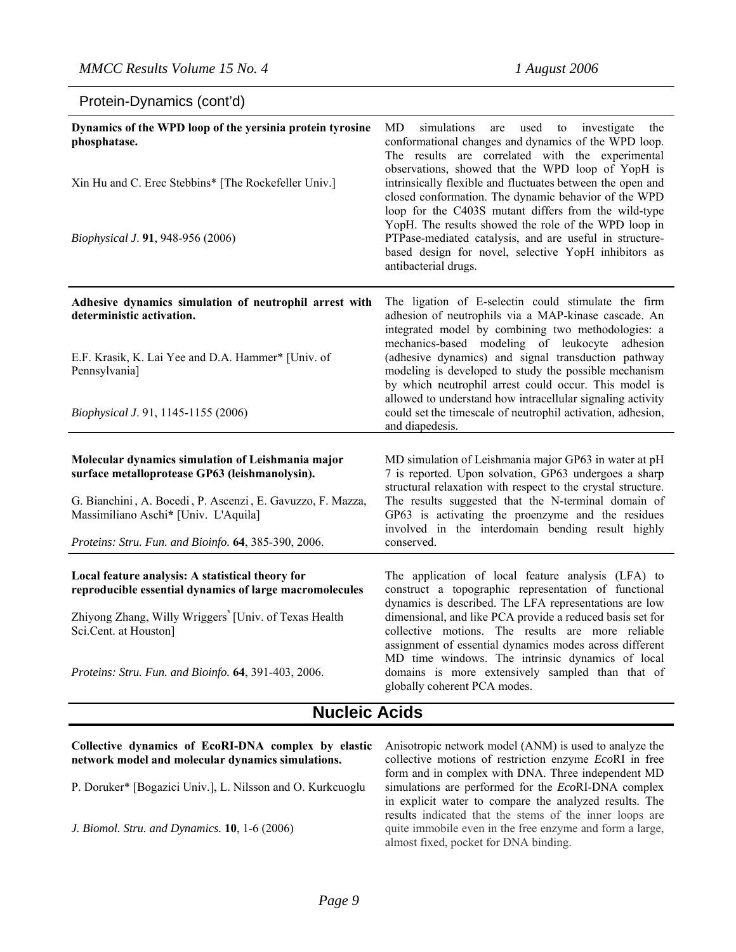## Protein-Dynamics (cont'd)

| Dynamics of the WPD loop of the yersinia protein tyrosine<br>phosphatase.<br>Xin Hu and C. Erec Stebbins* [The Rockefeller Univ.]<br>Biophysical J. 91, 948-956 (2006) | MD<br>simulations<br>used to<br>investigate<br>the<br>are<br>conformational changes and dynamics of the WPD loop.<br>The results are correlated with the experimental<br>observations, showed that the WPD loop of YopH is<br>intrinsically flexible and fluctuates between the open and<br>closed conformation. The dynamic behavior of the WPD<br>loop for the C403S mutant differs from the wild-type<br>YopH. The results showed the role of the WPD loop in<br>PTPase-mediated catalysis, and are useful in structure-<br>based design for novel, selective YopH inhibitors as<br>antibacterial drugs. |
|------------------------------------------------------------------------------------------------------------------------------------------------------------------------|-------------------------------------------------------------------------------------------------------------------------------------------------------------------------------------------------------------------------------------------------------------------------------------------------------------------------------------------------------------------------------------------------------------------------------------------------------------------------------------------------------------------------------------------------------------------------------------------------------------|
| Adhesive dynamics simulation of neutrophil arrest with<br>deterministic activation.                                                                                    | The ligation of E-selectin could stimulate the firm<br>adhesion of neutrophils via a MAP-kinase cascade. An<br>integrated model by combining two methodologies: a                                                                                                                                                                                                                                                                                                                                                                                                                                           |
| E.F. Krasik, K. Lai Yee and D.A. Hammer* [Univ. of<br>Pennsylvania]                                                                                                    | mechanics-based modeling of leukocyte adhesion<br>(adhesive dynamics) and signal transduction pathway<br>modeling is developed to study the possible mechanism<br>by which neutrophil arrest could occur. This model is<br>allowed to understand how intracellular signaling activity                                                                                                                                                                                                                                                                                                                       |
| Biophysical J. 91, 1145-1155 (2006)                                                                                                                                    | could set the timescale of neutrophil activation, adhesion,<br>and diapedesis.                                                                                                                                                                                                                                                                                                                                                                                                                                                                                                                              |
| Molecular dynamics simulation of Leishmania major<br>surface metalloprotease GP63 (leishmanolysin).                                                                    | MD simulation of Leishmania major GP63 in water at pH<br>7 is reported. Upon solvation, GP63 undergoes a sharp<br>structural relaxation with respect to the crystal structure.                                                                                                                                                                                                                                                                                                                                                                                                                              |
| G. Bianchini, A. Bocedi, P. Ascenzi, E. Gavuzzo, F. Mazza,<br>Massimiliano Aschi* [Univ. L'Aquila]<br>Proteins: Stru. Fun. and Bioinfo. 64, 385-390, 2006.             | The results suggested that the N-terminal domain of<br>GP63 is activating the proenzyme and the residues<br>involved in the interdomain bending result highly<br>conserved.                                                                                                                                                                                                                                                                                                                                                                                                                                 |
|                                                                                                                                                                        |                                                                                                                                                                                                                                                                                                                                                                                                                                                                                                                                                                                                             |
| Local feature analysis: A statistical theory for<br>reproducible essential dynamics of large macromolecules                                                            | The application of local feature analysis (LFA) to<br>construct a topographic representation of functional                                                                                                                                                                                                                                                                                                                                                                                                                                                                                                  |
| Zhiyong Zhang, Willy Wriggers <sup>*</sup> [Univ. of Texas Health<br>Sci.Cent. at Houston]                                                                             | dynamics is described. The LFA representations are low<br>dimensional, and like PCA provide a reduced basis set for<br>collective motions. The results are more reliable<br>assignment of essential dynamics modes across different                                                                                                                                                                                                                                                                                                                                                                         |
| Proteins: Stru. Fun. and Bioinfo. 64, 391-403, 2006.                                                                                                                   | MD time windows. The intrinsic dynamics of local<br>domains is more extensively sampled than that of<br>globally coherent PCA modes.<br>. .                                                                                                                                                                                                                                                                                                                                                                                                                                                                 |

## **Nucleic Acids**

**Collective dynamics of EcoRI-DNA complex by elastic network model and molecular dynamics simulations.** 

P. Doruker\* [Bogazici Univ.], L. Nilsson and O. Kurkcuoglu

*J. Biomol. Stru. and Dynamics.* **10**, 1-6 (2006)

Anisotropic network model (ANM) is used to analyze the collective motions of restriction enzyme *Eco*RI in free form and in complex with DNA. Three independent MD simulations are performed for the *Eco*RI-DNA complex in explicit water to compare the analyzed results. The results indicated that the stems of the inner loops are quite immobile even in the free enzyme and form a large, almost fixed, pocket for DNA binding.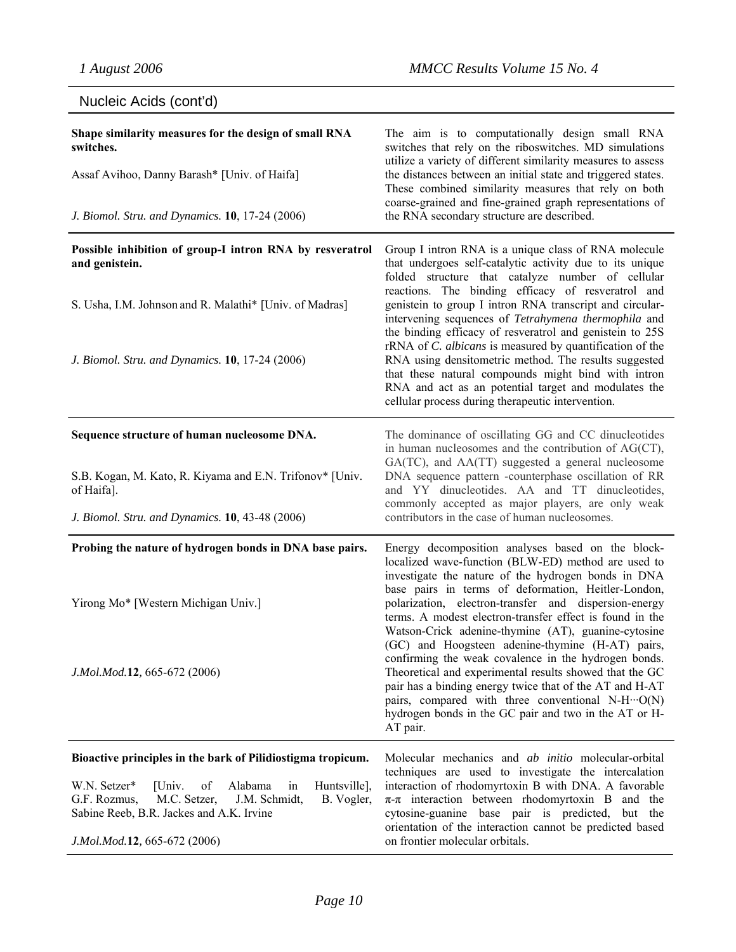| Nucleic Acids (cont'd)                                                                                                                                                   |                                                                                                                                                                                                                                                                                                                                                                                                                                                                                                                                                                                  |
|--------------------------------------------------------------------------------------------------------------------------------------------------------------------------|----------------------------------------------------------------------------------------------------------------------------------------------------------------------------------------------------------------------------------------------------------------------------------------------------------------------------------------------------------------------------------------------------------------------------------------------------------------------------------------------------------------------------------------------------------------------------------|
| Shape similarity measures for the design of small RNA<br>switches.                                                                                                       | The aim is to computationally design small RNA<br>switches that rely on the riboswitches. MD simulations<br>utilize a variety of different similarity measures to assess                                                                                                                                                                                                                                                                                                                                                                                                         |
| Assaf Avihoo, Danny Barash* [Univ. of Haifa]                                                                                                                             | the distances between an initial state and triggered states.<br>These combined similarity measures that rely on both                                                                                                                                                                                                                                                                                                                                                                                                                                                             |
| J. Biomol. Stru. and Dynamics. 10, 17-24 (2006)                                                                                                                          | coarse-grained and fine-grained graph representations of<br>the RNA secondary structure are described.                                                                                                                                                                                                                                                                                                                                                                                                                                                                           |
| Possible inhibition of group-I intron RNA by resveratrol<br>and genistein.                                                                                               | Group I intron RNA is a unique class of RNA molecule<br>that undergoes self-catalytic activity due to its unique                                                                                                                                                                                                                                                                                                                                                                                                                                                                 |
| S. Usha, I.M. Johnson and R. Malathi* [Univ. of Madras]<br>J. Biomol. Stru. and Dynamics. 10, 17-24 (2006)                                                               | folded structure that catalyze number of cellular<br>reactions. The binding efficacy of resveratrol and<br>genistein to group I intron RNA transcript and circular-<br>intervening sequences of Tetrahymena thermophila and<br>the binding efficacy of resveratrol and genistein to 25S<br>rRNA of C. albicans is measured by quantification of the<br>RNA using densitometric method. The results suggested<br>that these natural compounds might bind with intron<br>RNA and act as an potential target and modulates the<br>cellular process during therapeutic intervention. |
| Sequence structure of human nucleosome DNA.                                                                                                                              | The dominance of oscillating GG and CC dinucleotides<br>in human nucleosomes and the contribution of AG(CT),                                                                                                                                                                                                                                                                                                                                                                                                                                                                     |
| S.B. Kogan, M. Kato, R. Kiyama and E.N. Trifonov* [Univ.<br>of Haifa].                                                                                                   | GA(TC), and AA(TT) suggested a general nucleosome<br>DNA sequence pattern -counterphase oscillation of RR<br>and YY dinucleotides. AA and TT dinucleotides,<br>commonly accepted as major players, are only weak                                                                                                                                                                                                                                                                                                                                                                 |
| J. Biomol. Stru. and Dynamics. 10, 43-48 (2006)                                                                                                                          | contributors in the case of human nucleosomes.                                                                                                                                                                                                                                                                                                                                                                                                                                                                                                                                   |
| Probing the nature of hydrogen bonds in DNA base pairs.                                                                                                                  | Energy decomposition analyses based on the block-<br>localized wave-function (BLW-ED) method are used to                                                                                                                                                                                                                                                                                                                                                                                                                                                                         |
| Yirong Mo* [Western Michigan Univ.]                                                                                                                                      | investigate the nature of the hydrogen bonds in DNA<br>base pairs in terms of deformation, Heitler-London,<br>polarization, electron-transfer and dispersion-energy<br>terms. A modest electron-transfer effect is found in the<br>Watson-Crick adenine-thymine (AT), guanine-cytosine<br>(GC) and Hoogsteen adenine-thymine (H-AT) pairs,<br>confirming the weak covalence in the hydrogen bonds.                                                                                                                                                                               |
| J.Mol.Mod.12, 665-672 (2006)                                                                                                                                             | Theoretical and experimental results showed that the GC<br>pair has a binding energy twice that of the AT and H-AT<br>pairs, compared with three conventional N-H···O(N)<br>hydrogen bonds in the GC pair and two in the AT or H-<br>AT pair.                                                                                                                                                                                                                                                                                                                                    |
| Bioactive principles in the bark of Pilidiostigma tropicum.                                                                                                              | Molecular mechanics and <i>ab initio</i> molecular-orbital                                                                                                                                                                                                                                                                                                                                                                                                                                                                                                                       |
| W.N. Setzer*<br>[Univ.<br>of<br>Alabama<br>Huntsville],<br>in<br>M.C. Setzer,<br>G.F. Rozmus,<br>J.M. Schmidt,<br>B. Vogler,<br>Sabine Reeb, B.R. Jackes and A.K. Irvine | techniques are used to investigate the intercalation<br>interaction of rhodomyrtoxin B with DNA. A favorable<br>$\pi$ - $\pi$ interaction between rhodomyrtoxin B and the<br>cytosine-guanine base pair is predicted, but the<br>orientation of the interaction cannot be predicted based                                                                                                                                                                                                                                                                                        |
| J.Mol.Mod.12, 665-672 (2006)                                                                                                                                             | on frontier molecular orbitals.                                                                                                                                                                                                                                                                                                                                                                                                                                                                                                                                                  |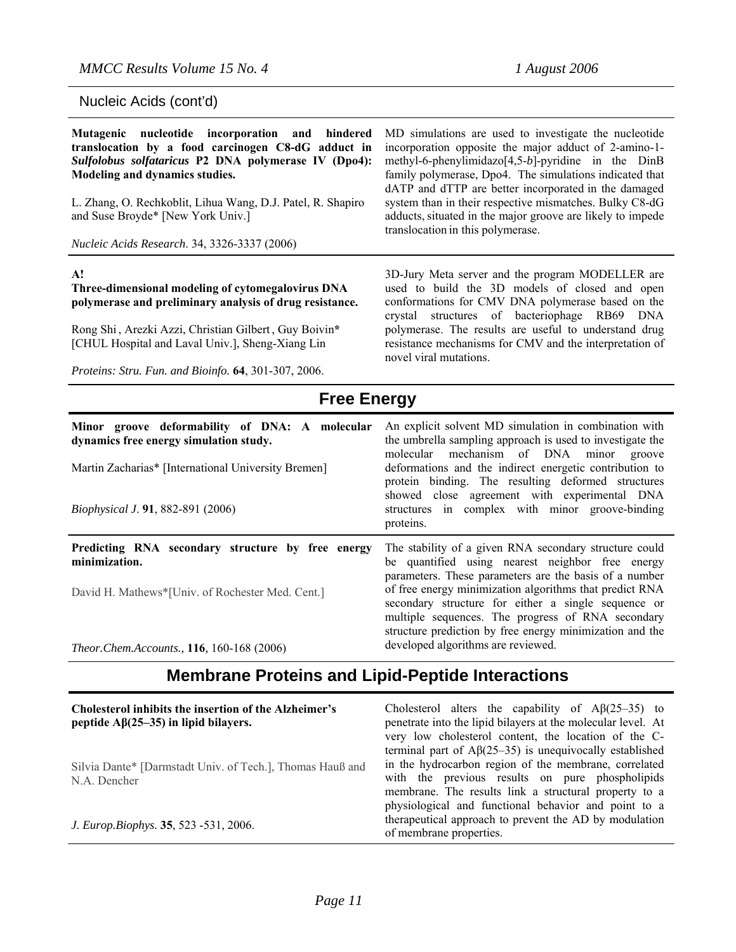| Nucleic Acids (cont'd)                                                                                                                                                                                                                                                                                                                              |                                                                                                                                                                                                                                        |
|-----------------------------------------------------------------------------------------------------------------------------------------------------------------------------------------------------------------------------------------------------------------------------------------------------------------------------------------------------|----------------------------------------------------------------------------------------------------------------------------------------------------------------------------------------------------------------------------------------|
| Mutagenic nucleotide incorporation and hindered<br>translocation by a food carcinogen C8-dG adduct in<br>Sulfolobus solfataricus P2 DNA polymerase IV (Dpo4):<br>Modeling and dynamics studies.<br>L. Zhang, O. Rechkoblit, Lihua Wang, D.J. Patel, R. Shapiro<br>and Suse Broyde* [New York Univ.]<br>Nucleic Acids Research. 34, 3326-3337 (2006) | MD simulations are used<br>incorporation opposite the<br>methyl-6-phenylimidazo[4<br>family polymerase, Dpo4.<br>dATP and dTTP are bette<br>system than in their respec<br>adducts, situated in the ma<br>translocation in this polyme |
|                                                                                                                                                                                                                                                                                                                                                     |                                                                                                                                                                                                                                        |
| A!<br>Three-dimensional modeling of cytomegalovirus DNA<br>polymerase and preliminary analysis of drug resistance.                                                                                                                                                                                                                                  | 3D-Jury Meta server and<br>used to build the 3D<br>conformations for CMV I<br>crystal structures of                                                                                                                                    |
| Rong Shi, Arezki Azzi, Christian Gilbert, Guy Boivin*                                                                                                                                                                                                                                                                                               | polymerase. The results a                                                                                                                                                                                                              |

[CHUL Hospital and Laval Univ.], Sheng-Xiang Lin

*Proteins: Stru. Fun. and Bioinfo.* **64**, 301-307, 2006.

to investigate the nucleotide e major adduct of 2-amino-1- $[-5-b]$ -pyridine in the DinB The simulations indicated that er incorporated in the damaged tive mismatches. Bulky C8-dG ation groove are likely to impede terase.

the program MODELLER are models of closed and open DNA polymerase based on the bacteriophage RB69 DNA are useful to understand drug resistance mechanisms for CMV and the interpretation of novel viral mutations.

#### **Free Energy Minor groove deformability of DNA: A molecular dynamics free energy simulation study.**  Martin Zacharias\* [International University Bremen] *Biophysical J*. **91**, 882-891 (2006) An explicit solvent MD simulation in combination with the umbrella sampling approach is used to investigate the molecular mechanism of DNA minor groove deformations and the indirect energetic contribution to protein binding. The resulting deformed structures showed close agreement with experimental DNA structures in complex with minor groove-binding proteins. **Predicting RNA secondary structure by free energy minimization.**  David H. Mathews\*[Univ. of Rochester Med. Cent.] *Theor.Chem.Accounts.,* **116***,* 160-168 (2006) The stability of a given RNA secondary structure could be quantified using nearest neighbor free energy parameters. These parameters are the basis of a number of free energy minimization algorithms that predict RNA secondary structure for either a single sequence or multiple sequences. The progress of RNA secondary structure prediction by free energy minimization and the developed algorithms are reviewed.

## **Membrane Proteins and Lipid-Peptide Interactions**

| <b>Cholesterol inhibits the insertion of the Alzheimer's</b><br>peptide $\mathbf{A}\beta(25-35)$ in lipid bilayers. | Cholesterol alters the capability of $\text{A}\beta(25-35)$ to<br>penetrate into the lipid bilayers at the molecular level. At<br>very low cholesterol content, the location of the C-                                                                                                               |
|---------------------------------------------------------------------------------------------------------------------|------------------------------------------------------------------------------------------------------------------------------------------------------------------------------------------------------------------------------------------------------------------------------------------------------|
| Silvia Dante* [Darmstadt Univ. of Tech.], Thomas Hauß and<br>N.A. Dencher                                           | terminal part of $\mathcal{A}\beta(25-35)$ is unequivocally established<br>in the hydrocarbon region of the membrane, correlated<br>with the previous results on pure phospholipids<br>membrane. The results link a structural property to a<br>physiological and functional behavior and point to a |
| J. Europ.Biophys. 35, 523 -531, 2006.                                                                               | therapeutical approach to prevent the AD by modulation<br>of membrane properties.                                                                                                                                                                                                                    |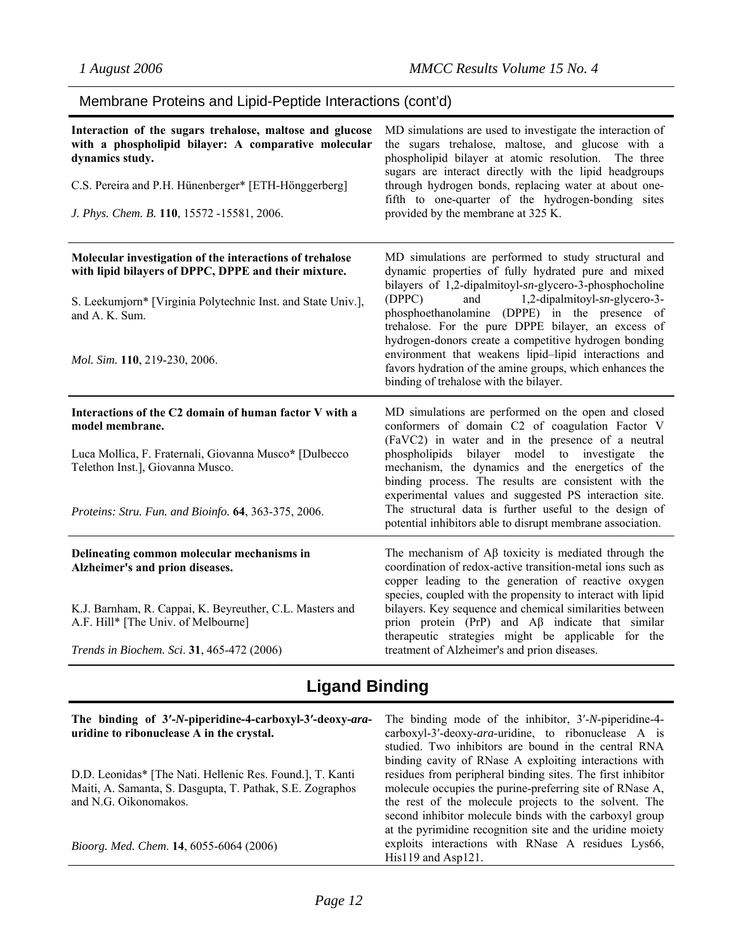## Membrane Proteins and Lipid-Peptide Interactions (cont'd)

| Interaction of the sugars trehalose, maltose and glucose<br>with a phospholipid bilayer: A comparative molecular<br>dynamics study.<br>C.S. Pereira and P.H. Hünenberger* [ETH-Hönggerberg]<br>J. Phys. Chem. B. 110, 15572 -15581, 2006. | MD simulations are used to investigate the interaction of<br>the sugars trehalose, maltose, and glucose with a<br>phospholipid bilayer at atomic resolution. The three<br>sugars are interact directly with the lipid headgroups<br>through hydrogen bonds, replacing water at about one-<br>fifth to one-quarter of the hydrogen-bonding sites<br>provided by the membrane at 325 K. |
|-------------------------------------------------------------------------------------------------------------------------------------------------------------------------------------------------------------------------------------------|---------------------------------------------------------------------------------------------------------------------------------------------------------------------------------------------------------------------------------------------------------------------------------------------------------------------------------------------------------------------------------------|
| Molecular investigation of the interactions of trehalose<br>with lipid bilayers of DPPC, DPPE and their mixture.<br>S. Leekumjorn* [Virginia Polytechnic Inst. and State Univ.],<br>and A. K. Sum.                                        | MD simulations are performed to study structural and<br>dynamic properties of fully hydrated pure and mixed<br>bilayers of 1,2-dipalmitoyl-sn-glycero-3-phosphocholine<br>(DPPC)<br>and<br>1,2-dipalmitoyl-sn-glycero-3-<br>phosphoethanolamine (DPPE) in the presence of<br>trehalose. For the pure DPPE bilayer, an excess of                                                       |
| Mol. Sim. 110, 219-230, 2006.                                                                                                                                                                                                             | hydrogen-donors create a competitive hydrogen bonding<br>environment that weakens lipid-lipid interactions and<br>favors hydration of the amine groups, which enhances the<br>binding of trehalose with the bilayer.                                                                                                                                                                  |
| Interactions of the C2 domain of human factor V with a<br>model membrane.                                                                                                                                                                 | MD simulations are performed on the open and closed<br>conformers of domain C2 of coagulation Factor V                                                                                                                                                                                                                                                                                |
|                                                                                                                                                                                                                                           | (FaVC2) in water and in the presence of a neutral                                                                                                                                                                                                                                                                                                                                     |
| Luca Mollica, F. Fraternali, Giovanna Musco* [Dulbecco<br>Telethon Inst.], Giovanna Musco.                                                                                                                                                | phospholipids bilayer model to investigate<br>the<br>mechanism, the dynamics and the energetics of the<br>binding process. The results are consistent with the<br>experimental values and suggested PS interaction site.                                                                                                                                                              |
| Proteins: Stru. Fun. and Bioinfo. 64, 363-375, 2006.                                                                                                                                                                                      | The structural data is further useful to the design of<br>potential inhibitors able to disrupt membrane association.                                                                                                                                                                                                                                                                  |
| Delineating common molecular mechanisms in<br>Alzheimer's and prion diseases.                                                                                                                                                             | The mechanism of $\mathbf{A}\beta$ toxicity is mediated through the<br>coordination of redox-active transition-metal ions such as<br>copper leading to the generation of reactive oxygen                                                                                                                                                                                              |
| K.J. Barnham, R. Cappai, K. Beyreuther, C.L. Masters and<br>A.F. Hill* [The Univ. of Melbourne]<br>Trends in Biochem. Sci. 31, 465-472 (2006)                                                                                             | species, coupled with the propensity to interact with lipid<br>bilayers. Key sequence and chemical similarities between<br>prion protein (PrP) and $\overrightarrow{AB}$ indicate that similar<br>therapeutic strategies might be applicable for the<br>treatment of Alzheimer's and prion diseases.                                                                                  |

# **Ligand Binding**

| The binding of 3'-N-piperidine-4-carboxyl-3'-deoxy-ara-<br>uridine to ribonuclease A in the crystal.                                            | The binding mode of the inhibitor, 3'-N-piperidine-4-<br>carboxyl-3'-deoxy-ara-uridine, to ribonuclease A is<br>studied. Two inhibitors are bound in the central RNA<br>binding cavity of RNase A exploiting interactions with              |
|-------------------------------------------------------------------------------------------------------------------------------------------------|---------------------------------------------------------------------------------------------------------------------------------------------------------------------------------------------------------------------------------------------|
| D.D. Leonidas* [The Nati. Hellenic Res. Found.], T. Kanti<br>Maiti, A. Samanta, S. Dasgupta, T. Pathak, S.E. Zographos<br>and N.G. Oikonomakos. | residues from peripheral binding sites. The first inhibitor<br>molecule occupies the purine-preferring site of RNase A,<br>the rest of the molecule projects to the solvent. The<br>second inhibitor molecule binds with the carboxyl group |
| Bioorg. Med. Chem. 14, 6055-6064 (2006)                                                                                                         | at the pyrimidine recognition site and the uridine moiety<br>exploits interactions with RNase A residues Lys66,<br>$His119$ and $Asp121$ .                                                                                                  |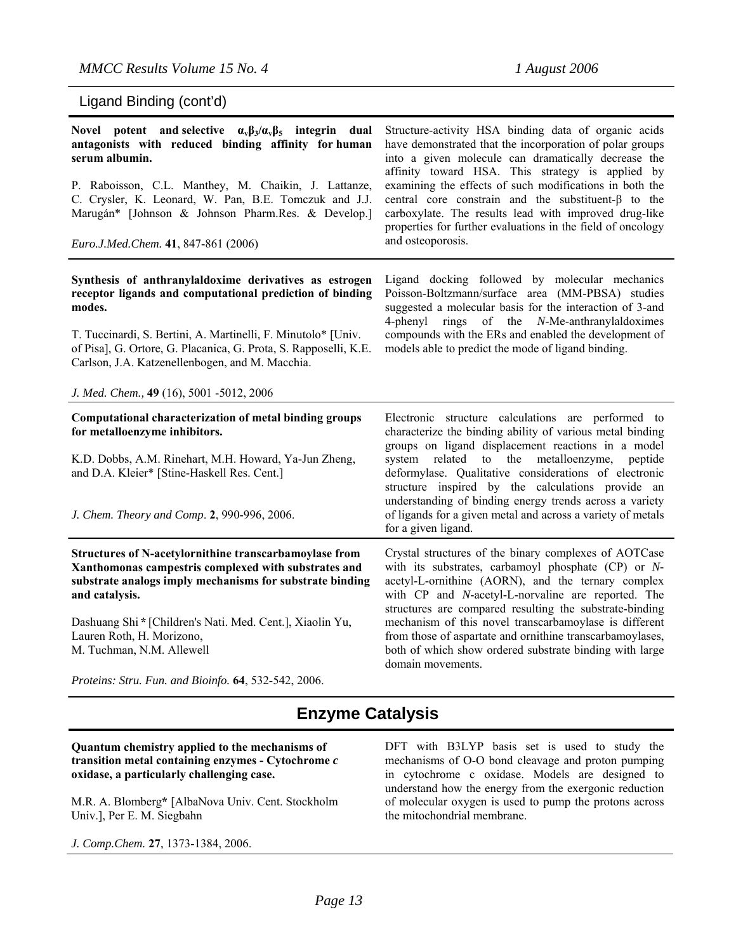## Ligand Binding (cont'd)

| Novel potent and selective $\alpha_{\rm v}\beta_3/\alpha_{\rm v}\beta_5$ integrin dual<br>antagonists with reduced binding affinity for human<br>serum albumin.<br>P. Raboisson, C.L. Manthey, M. Chaikin, J. Lattanze,<br>C. Crysler, K. Leonard, W. Pan, B.E. Tomczuk and J.J.<br>Marugán* [Johnson & Johnson Pharm.Res. & Develop.]<br>Euro.J.Med.Chem. 41, 847-861 (2006)                                                           | Structure-activity HSA binding data of organic acids<br>have demonstrated that the incorporation of polar groups<br>into a given molecule can dramatically decrease the<br>affinity toward HSA. This strategy is applied by<br>examining the effects of such modifications in both the<br>central core constrain and the substituent- $\beta$ to the<br>carboxylate. The results lead with improved drug-like<br>properties for further evaluations in the field of oncology<br>and osteoporosis. |
|-----------------------------------------------------------------------------------------------------------------------------------------------------------------------------------------------------------------------------------------------------------------------------------------------------------------------------------------------------------------------------------------------------------------------------------------|---------------------------------------------------------------------------------------------------------------------------------------------------------------------------------------------------------------------------------------------------------------------------------------------------------------------------------------------------------------------------------------------------------------------------------------------------------------------------------------------------|
| Synthesis of anthranylaldoxime derivatives as estrogen<br>receptor ligands and computational prediction of binding<br>modes.<br>T. Tuccinardi, S. Bertini, A. Martinelli, F. Minutolo* [Univ.<br>of Pisa], G. Ortore, G. Placanica, G. Prota, S. Rapposelli, K.E.<br>Carlson, J.A. Katzenellenbogen, and M. Macchia.<br>J. Med. Chem., 49 (16), 5001 -5012, 2006                                                                        | Ligand docking followed by molecular mechanics<br>Poisson-Boltzmann/surface area (MM-PBSA) studies<br>suggested a molecular basis for the interaction of 3-and<br>4-phenyl rings of the N-Me-anthranylaldoximes<br>compounds with the ERs and enabled the development of<br>models able to predict the mode of ligand binding.                                                                                                                                                                    |
| Computational characterization of metal binding groups<br>for metalloenzyme inhibitors.<br>K.D. Dobbs, A.M. Rinehart, M.H. Howard, Ya-Jun Zheng,<br>and D.A. Kleier* [Stine-Haskell Res. Cent.]<br>J. Chem. Theory and Comp. 2, 990-996, 2006.                                                                                                                                                                                          | Electronic structure calculations are performed to<br>characterize the binding ability of various metal binding<br>groups on ligand displacement reactions in a model<br>system related to the metalloenzyme, peptide<br>deformylase. Qualitative considerations of electronic<br>structure inspired by the calculations provide an<br>understanding of binding energy trends across a variety<br>of ligands for a given metal and across a variety of metals<br>for a given ligand.              |
| Structures of N-acetylornithine transcarbamoylase from<br>Xanthomonas campestris complexed with substrates and<br>substrate analogs imply mechanisms for substrate binding<br>and catalysis.<br>Dashuang Shi * [Children's Nati. Med. Cent.], Xiaolin Yu,<br>Lauren Roth, H. Morizono,<br>M. Tuchman, N.M. Allewell<br>$D_{\text{rotation}}$ , $\mathcal{C}_{\text{triv}}$ , $E_{\text{triv}}$ and $D_{\text{tot}}$ (A, 522, 542, 2006) | Crystal structures of the binary complexes of AOTCase<br>with its substrates, carbamoyl phosphate (CP) or N-<br>acetyl-L-ornithine (AORN), and the ternary complex<br>with CP and N-acetyl-L-norvaline are reported. The<br>structures are compared resulting the substrate-binding<br>mechanism of this novel transcarbamoylase is different<br>from those of aspartate and ornithine transcarbamoylases,<br>both of which show ordered substrate binding with large<br>domain movements.        |

*Proteins: Stru. Fun. and Bioinfo.* **64**, 532-542, 2006.

## **Enzyme Catalysis**

**Quantum chemistry applied to the mechanisms of transition metal containing enzymes - Cytochrome** *c* **oxidase, a particularly challenging case.** 

M.R. A. Blomberg**\*** [AlbaNova Univ. Cent. Stockholm Univ.], Per E. M. Siegbahn

*J. Comp.Chem.* **27**, 1373-1384, 2006.

DFT with B3LYP basis set is used to study the mechanisms of O-O bond cleavage and proton pumping in cytochrome c oxidase. Models are designed to understand how the energy from the exergonic reduction of molecular oxygen is used to pump the protons across the mitochondrial membrane.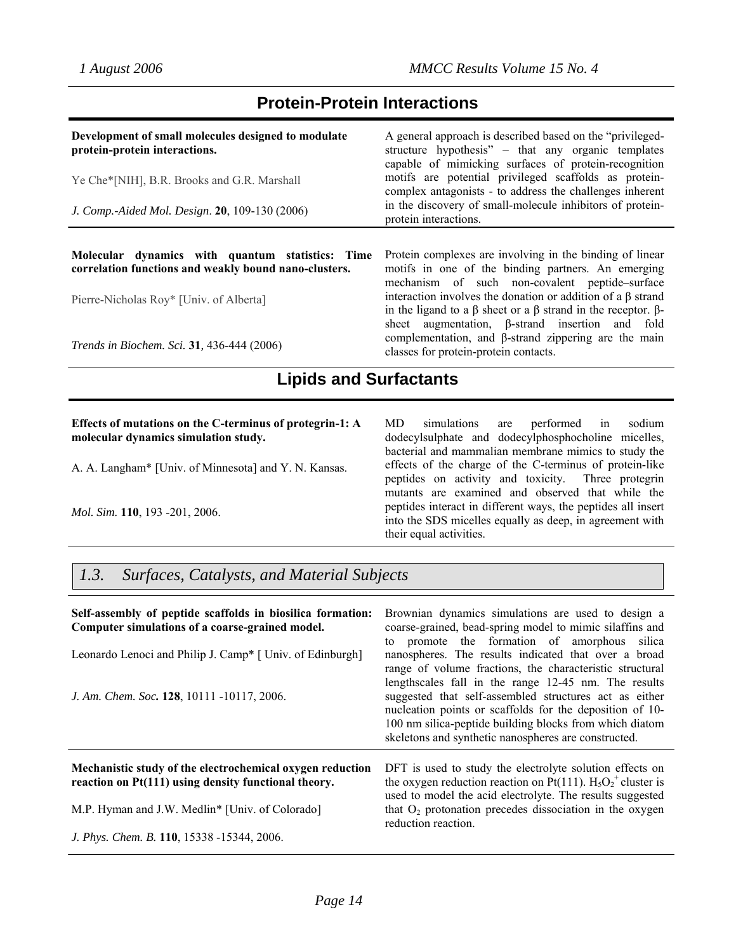## **Protein-Protein Interactions**

| Development of small molecules designed to modulate<br>protein-protein interactions.                      | A general approach is described based on the "privileged-<br>structure hypothesis" – that any organic templates<br>capable of mimicking surfaces of protein-recognition |
|-----------------------------------------------------------------------------------------------------------|-------------------------------------------------------------------------------------------------------------------------------------------------------------------------|
| Ye Che*[NIH], B.R. Brooks and G.R. Marshall                                                               | motifs are potential privileged scaffolds as protein-<br>complex antagonists - to address the challenges inherent                                                       |
| J. Comp.-Aided Mol. Design. 20, 109-130 (2006)                                                            | in the discovery of small-molecule inhibitors of protein-<br>protein interactions.                                                                                      |
| Molecular dynamics with quantum statistics: Time<br>correlation functions and weakly bound nano-clusters. | Protein complexes are involving in the binding of linear<br>motifs in one of the binding partners. An emerging<br>mechanism of such non-covalent peptide-surface        |

Pierre-Nicholas Roy\* [Univ. of Alberta]

*Trends in Biochem. Sci.* **31***,* 436-444 (2006)

interaction involves the donation or addition of a β strand in the ligand to a β sheet or a β strand in the receptor. βsheet augmentation, β-strand insertion and fold complementation, and β-strand zippering are the main classes for protein-protein contacts.

## **Lipids and Surfactants**

### **Effects of mutations on the C-terminus of protegrin-1: A molecular dynamics simulation study.**

A. A. Langham\* [Univ. of Minnesota] and Y. N. Kansas.

*Mol. Sim.* **110**, 193 -201, 2006.

MD simulations are performed in sodium dodecylsulphate and dodecylphosphocholine micelles, bacterial and mammalian membrane mimics to study the effects of the charge of the C-terminus of protein-like peptides on activity and toxicity. Three protegrin mutants are examined and observed that while the peptides interact in different ways, the peptides all insert into the SDS micelles equally as deep, in agreement with their equal activities.

## *1.3. Surfaces, Catalysts, and Material Subjects*

| Self-assembly of peptide scaffolds in biosilica formation:<br>Computer simulations of a coarse-grained model.<br>Leonardo Lenoci and Philip J. Camp* [ Univ. of Edinburgh]<br>J. Am. Chem. Soc. 128, 10111 -10117, 2006. | Brownian dynamics simulations are used to design a<br>coarse-grained, bead-spring model to mimic silaffins and<br>to promote the formation of amorphous silical<br>nanospheres. The results indicated that over a broad<br>range of volume fractions, the characteristic structural<br>lengthscales fall in the range 12-45 nm. The results<br>suggested that self-assembled structures act as either<br>nucleation points or scaffolds for the deposition of 10-<br>100 nm silica-peptide building blocks from which diatom<br>skeletons and synthetic nanospheres are constructed. |
|--------------------------------------------------------------------------------------------------------------------------------------------------------------------------------------------------------------------------|--------------------------------------------------------------------------------------------------------------------------------------------------------------------------------------------------------------------------------------------------------------------------------------------------------------------------------------------------------------------------------------------------------------------------------------------------------------------------------------------------------------------------------------------------------------------------------------|
| Mechanistic study of the electrochemical oxygen reduction<br>reaction on Pt(111) using density functional theory.<br>M.P. Hyman and J.W. Medlin* [Univ. of Colorado]                                                     | DFT is used to study the electrolyte solution effects on<br>the oxygen reduction reaction on Pt(111). $H_5O_2^+$ cluster is<br>used to model the acid electrolyte. The results suggested<br>that $O_2$ protonation precedes dissociation in the oxygen                                                                                                                                                                                                                                                                                                                               |
| J. Phys. Chem. B. 110, 15338 -15344, 2006.                                                                                                                                                                               | reduction reaction.                                                                                                                                                                                                                                                                                                                                                                                                                                                                                                                                                                  |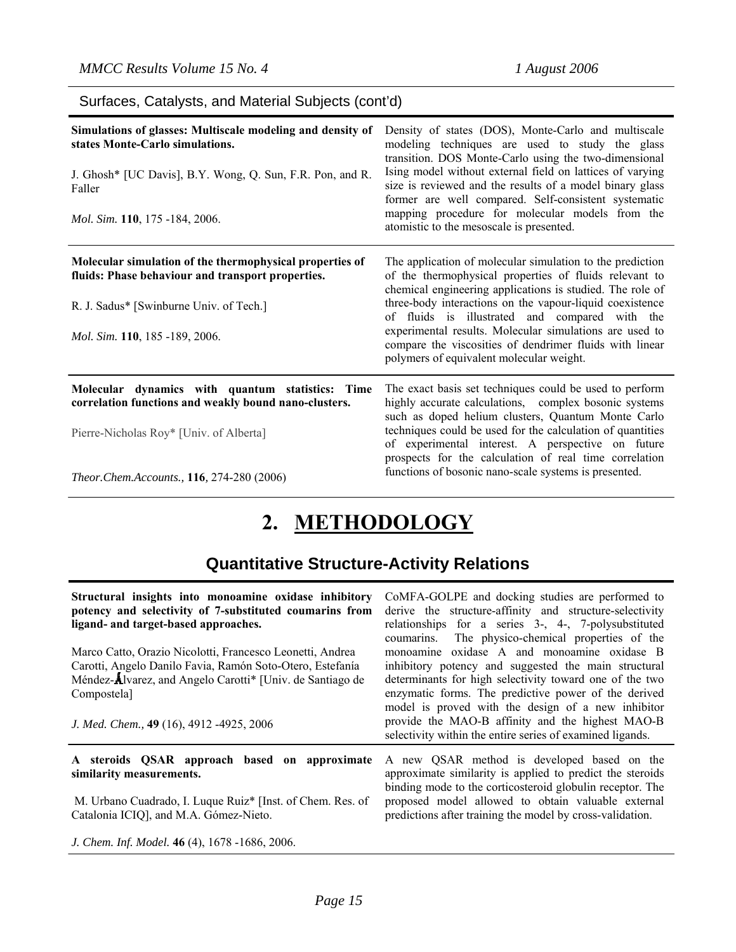## Surfaces, Catalysts, and Material Subjects (cont'd)

| Simulations of glasses: Multiscale modeling and density of<br>states Monte-Carlo simulations.<br>J. Ghosh* [UC Davis], B.Y. Wong, Q. Sun, F.R. Pon, and R.<br>Faller<br>Mol. Sim. 110, 175 -184, 2006. | Density of states (DOS), Monte-Carlo and multiscale<br>modeling techniques are used to study the glass<br>transition. DOS Monte-Carlo using the two-dimensional<br>Ising model without external field on lattices of varying<br>size is reviewed and the results of a model binary glass<br>former are well compared. Self-consistent systematic<br>mapping procedure for molecular models from the<br>atomistic to the mesoscale is presented.                  |
|--------------------------------------------------------------------------------------------------------------------------------------------------------------------------------------------------------|------------------------------------------------------------------------------------------------------------------------------------------------------------------------------------------------------------------------------------------------------------------------------------------------------------------------------------------------------------------------------------------------------------------------------------------------------------------|
| Molecular simulation of the thermophysical properties of<br>fluids: Phase behaviour and transport properties.<br>R. J. Sadus* [Swinburne Univ. of Tech.]<br>Mol. Sim. 110, 185 -189, 2006.             | The application of molecular simulation to the prediction<br>of the thermophysical properties of fluids relevant to<br>chemical engineering applications is studied. The role of<br>three-body interactions on the vapour-liquid coexistence<br>of fluids is illustrated and compared with the<br>experimental results. Molecular simulations are used to<br>compare the viscosities of dendrimer fluids with linear<br>polymers of equivalent molecular weight. |
| Molecular dynamics with quantum statistics: Time<br>correlation functions and weakly bound nano-clusters.<br>Pierre-Nicholas Roy* [Univ. of Alberta]<br>Theor.Chem.Accounts., 116, 274-280 (2006)      | The exact basis set techniques could be used to perform<br>highly accurate calculations, complex bosonic systems<br>such as doped helium clusters, Quantum Monte Carlo<br>techniques could be used for the calculation of quantities<br>of experimental interest. A perspective on future<br>prospects for the calculation of real time correlation<br>functions of bosonic nano-scale systems is presented.                                                     |

# **2. METHODOLOGY**

# **Quantitative Structure-Activity Relations**

| Structural insights into monoamine oxidase inhibitory                     | CoMFA-GOLPE and docking studies are performed to                                                                |
|---------------------------------------------------------------------------|-----------------------------------------------------------------------------------------------------------------|
| potency and selectivity of 7-substituted coumarins from                   | derive the structure-affinity and structure-selectivity                                                         |
| ligand- and target-based approaches.                                      | relationships for a series 3-, 4-, 7-polysubstituted                                                            |
|                                                                           | The physico-chemical properties of the<br>coumarins.                                                            |
| Marco Catto, Orazio Nicolotti, Francesco Leonetti, Andrea                 | monoamine oxidase A and monoamine oxidase B                                                                     |
| Carotti, Angelo Danilo Favia, Ramón Soto-Otero, Estefanía                 | inhibitory potency and suggested the main structural                                                            |
| Méndez-Alvarez, and Angelo Carotti* [Univ. de Santiago de                 | determinants for high selectivity toward one of the two                                                         |
| Compostela]                                                               | enzymatic forms. The predictive power of the derived                                                            |
|                                                                           | model is proved with the design of a new inhibitor                                                              |
| J. Med. Chem., 49 (16), 4912 -4925, 2006                                  | provide the MAO-B affinity and the highest MAO-B                                                                |
|                                                                           | selectivity within the entire series of examined ligands.                                                       |
| A steroids QSAR approach based on approximate<br>similarity measurements. | A new QSAR method is developed based on the<br>approximate similarity is applied to predict the steroids        |
|                                                                           | binding mode to the corticosteroid globulin receptor. The<br>proposed model allowed to obtain valuable external |
| M. Urbano Cuadrado, I. Luque Ruiz <sup>*</sup> [Inst. of Chem. Res. of    |                                                                                                                 |
| Catalonia ICIQ], and M.A. Gómez-Nieto.                                    | predictions after training the model by cross-validation.                                                       |
| J. Chem. Inf. Model. 46 (4), 1678 -1686, 2006.                            |                                                                                                                 |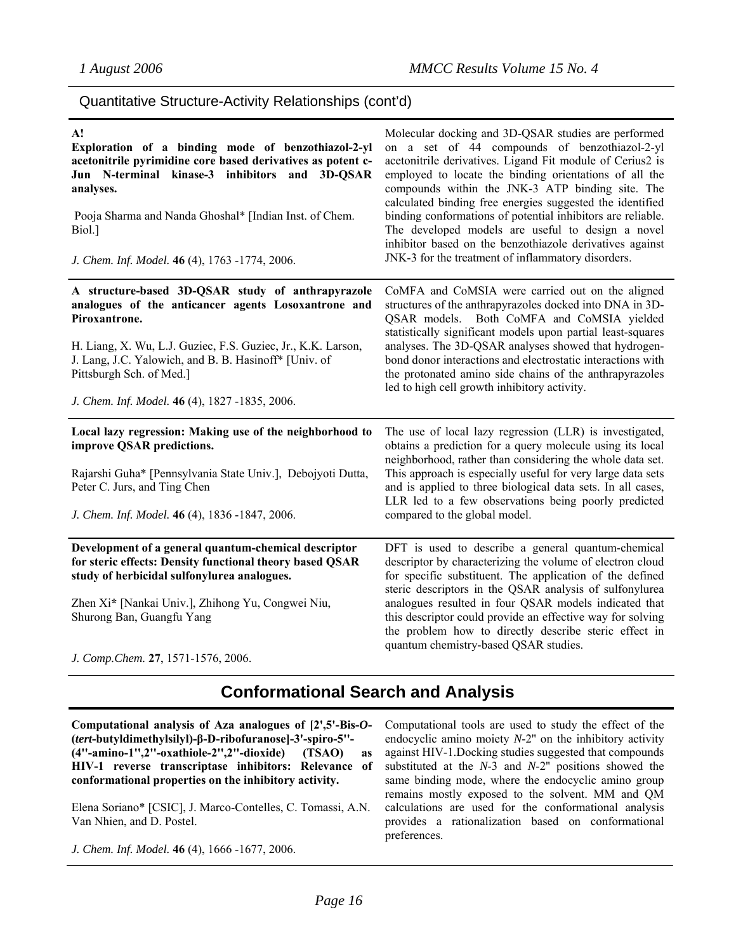## Quantitative Structure-Activity Relationships (cont'd)

| A!<br>Exploration of a binding mode of benzothiazol-2-yl<br>acetonitrile pyrimidine core based derivatives as potent c-<br>Jun N-terminal kinase-3 inhibitors and 3D-QSAR<br>analyses.<br>Pooja Sharma and Nanda Ghoshal* [Indian Inst. of Chem.<br>Biol.]<br>J. Chem. Inf. Model. 46 (4), 1763 -1774, 2006. | Molecular docking and 3D-QSAR studies are performed<br>on a set of 44 compounds of benzothiazol-2-yl<br>acetonitrile derivatives. Ligand Fit module of Cerius2 is<br>employed to locate the binding orientations of all the<br>compounds within the JNK-3 ATP binding site. The<br>calculated binding free energies suggested the identified<br>binding conformations of potential inhibitors are reliable.<br>The developed models are useful to design a novel<br>inhibitor based on the benzothiazole derivatives against<br>JNK-3 for the treatment of inflammatory disorders. |
|--------------------------------------------------------------------------------------------------------------------------------------------------------------------------------------------------------------------------------------------------------------------------------------------------------------|------------------------------------------------------------------------------------------------------------------------------------------------------------------------------------------------------------------------------------------------------------------------------------------------------------------------------------------------------------------------------------------------------------------------------------------------------------------------------------------------------------------------------------------------------------------------------------|
| A structure-based 3D-QSAR study of anthrapyrazole<br>analogues of the anticancer agents Losoxantrone and<br>Piroxantrone.                                                                                                                                                                                    | CoMFA and CoMSIA were carried out on the aligned<br>structures of the anthrapyrazoles docked into DNA in 3D-<br>QSAR models. Both CoMFA and CoMSIA yielded<br>statistically significant models upon partial least-squares                                                                                                                                                                                                                                                                                                                                                          |
| H. Liang, X. Wu, L.J. Guziec, F.S. Guziec, Jr., K.K. Larson,<br>J. Lang, J.C. Yalowich, and B. B. Hasinoff* [Univ. of<br>Pittsburgh Sch. of Med.]                                                                                                                                                            | analyses. The 3D-QSAR analyses showed that hydrogen-<br>bond donor interactions and electrostatic interactions with<br>the protonated amino side chains of the anthrapyrazoles<br>led to high cell growth inhibitory activity.                                                                                                                                                                                                                                                                                                                                                     |
| J. Chem. Inf. Model. 46 (4), 1827 -1835, 2006.                                                                                                                                                                                                                                                               |                                                                                                                                                                                                                                                                                                                                                                                                                                                                                                                                                                                    |
| Local lazy regression: Making use of the neighborhood to<br>improve QSAR predictions.                                                                                                                                                                                                                        | The use of local lazy regression (LLR) is investigated,<br>obtains a prediction for a query molecule using its local<br>neighborhood, rather than considering the whole data set.                                                                                                                                                                                                                                                                                                                                                                                                  |
| Rajarshi Guha* [Pennsylvania State Univ.], Debojyoti Dutta,<br>Peter C. Jurs, and Ting Chen                                                                                                                                                                                                                  | This approach is especially useful for very large data sets<br>and is applied to three biological data sets. In all cases,<br>LLR led to a few observations being poorly predicted                                                                                                                                                                                                                                                                                                                                                                                                 |
| J. Chem. Inf. Model. 46 (4), 1836 -1847, 2006.                                                                                                                                                                                                                                                               | compared to the global model.                                                                                                                                                                                                                                                                                                                                                                                                                                                                                                                                                      |
| Development of a general quantum-chemical descriptor<br>for steric effects: Density functional theory based QSAR<br>study of herbicidal sulfonylurea analogues.                                                                                                                                              | DFT is used to describe a general quantum-chemical<br>descriptor by characterizing the volume of electron cloud<br>for specific substituent. The application of the defined<br>steric descriptors in the QSAR analysis of sulfonylurea                                                                                                                                                                                                                                                                                                                                             |
| Zhen Xi* [Nankai Univ.], Zhihong Yu, Congwei Niu,<br>Shurong Ban, Guangfu Yang                                                                                                                                                                                                                               | analogues resulted in four QSAR models indicated that<br>this descriptor could provide an effective way for solving<br>the problem how to directly describe steric effect in<br>quantum chemistry-based QSAR studies.                                                                                                                                                                                                                                                                                                                                                              |
| J. Comp.Chem. 27, 1571-1576, 2006.                                                                                                                                                                                                                                                                           |                                                                                                                                                                                                                                                                                                                                                                                                                                                                                                                                                                                    |

## **Conformational Search and Analysis**

**Computational analysis of Aza analogues of [2',5'-Bis-***O***- (***tert***-butyldimethylsilyl)-β-D-ribofuranose]-3'-spiro-5''- (4''-amino-1'',2''-oxathiole-2'',2''-dioxide) (TSAO) as HIV-1 reverse transcriptase inhibitors: Relevance of conformational properties on the inhibitory activity.** 

Elena Soriano\* [CSIC], J. Marco-Contelles, C. Tomassi, A.N. Van Nhien, and D. Postel.

*J. Chem. Inf. Model.* **46** (4), 1666 -1677, 2006.

Computational tools are used to study the effect of the endocyclic amino moiety *N*-2'' on the inhibitory activity against HIV-1.Docking studies suggested that compounds substituted at the *N*-3 and *N*-2'' positions showed the same binding mode, where the endocyclic amino group remains mostly exposed to the solvent. MM and QM calculations are used for the conformational analysis provides a rationalization based on conformational preferences.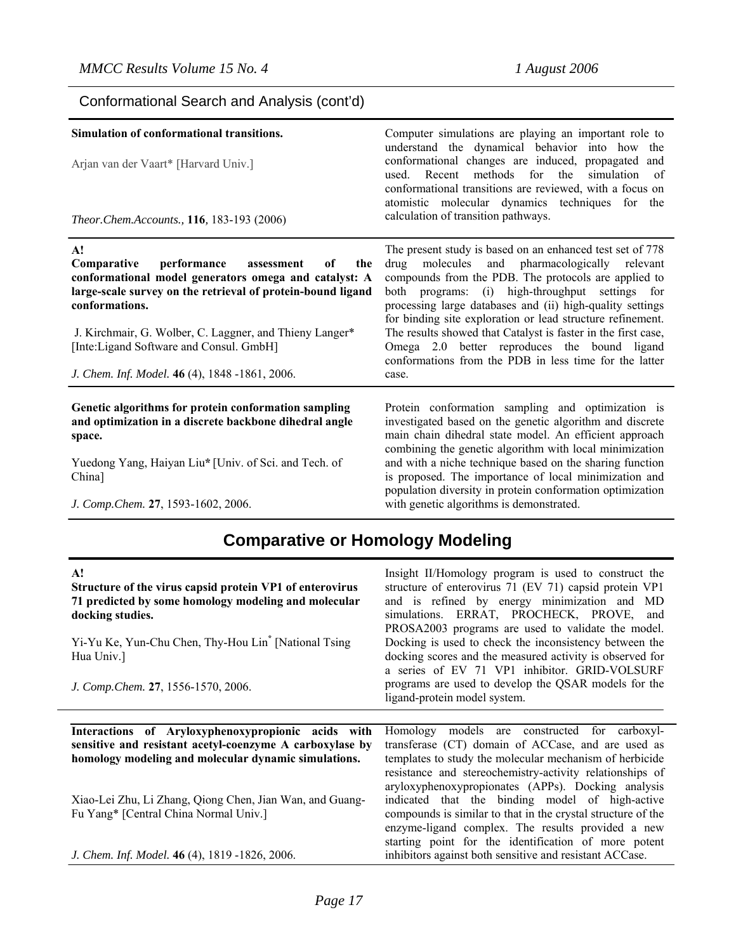## Conformational Search and Analysis (cont'd)

| Simulation of conformational transitions.<br>Arjan van der Vaart* [Harvard Univ.]<br>Theor.Chem.Accounts., 116, 183-193 (2006)                                                                                                                                                                                                                                | Computer simulations are playing an important role to<br>understand the dynamical behavior into how the<br>conformational changes are induced, propagated and<br>for the<br>Recent methods<br>simulation<br>used.<br>of<br>conformational transitions are reviewed, with a focus on<br>atomistic molecular dynamics techniques for the<br>calculation of transition pathways.                                                                                                                                                        |
|---------------------------------------------------------------------------------------------------------------------------------------------------------------------------------------------------------------------------------------------------------------------------------------------------------------------------------------------------------------|--------------------------------------------------------------------------------------------------------------------------------------------------------------------------------------------------------------------------------------------------------------------------------------------------------------------------------------------------------------------------------------------------------------------------------------------------------------------------------------------------------------------------------------|
| A!<br>Comparative<br>performance<br>of<br>assessment<br>the<br>conformational model generators omega and catalyst: A<br>large-scale survey on the retrieval of protein-bound ligand<br>conformations.<br>J. Kirchmair, G. Wolber, C. Laggner, and Thieny Langer*<br>[Inte:Ligand Software and Consul. GmbH]<br>J. Chem. Inf. Model. 46 (4), 1848 -1861, 2006. | The present study is based on an enhanced test set of 778<br>drug molecules and pharmacologically relevant<br>compounds from the PDB. The protocols are applied to<br>both programs: (i) high-throughput settings for<br>processing large databases and (ii) high-quality settings<br>for binding site exploration or lead structure refinement.<br>The results showed that Catalyst is faster in the first case,<br>Omega 2.0 better reproduces the bound ligand<br>conformations from the PDB in less time for the latter<br>case. |
| Genetic algorithms for protein conformation sampling<br>and optimization in a discrete backbone dihedral angle<br>space.<br>Yuedong Yang, Haiyan Liu* [Univ. of Sci. and Tech. of<br>China]<br>J. Comp. Chem. 27, 1593-1602, 2006.                                                                                                                            | Protein conformation sampling and optimization is<br>investigated based on the genetic algorithm and discrete<br>main chain dihedral state model. An efficient approach<br>combining the genetic algorithm with local minimization<br>and with a niche technique based on the sharing function<br>is proposed. The importance of local minimization and<br>population diversity in protein conformation optimization<br>with genetic algorithms is demonstrated.                                                                     |

# **Comparative or Homology Modeling**

| $\mathbf{A}!$                                                     | Insight II/Homology program is used to construct the                                                            |
|-------------------------------------------------------------------|-----------------------------------------------------------------------------------------------------------------|
| Structure of the virus capsid protein VP1 of enterovirus          | structure of enterovirus 71 (EV 71) capsid protein VP1                                                          |
| 71 predicted by some homology modeling and molecular              | and is refined by energy minimization and MD                                                                    |
| docking studies.                                                  | simulations. ERRAT, PROCHECK, PROVE, and                                                                        |
|                                                                   | PROSA2003 programs are used to validate the model.                                                              |
| Yi-Yu Ke, Yun-Chu Chen, Thy-Hou Lin <sup>*</sup> [National Tsing] | Docking is used to check the inconsistency between the                                                          |
| Hua Univ.]                                                        | docking scores and the measured activity is observed for                                                        |
|                                                                   | a series of EV 71 VP1 inhibitor. GRID-VOLSURF                                                                   |
| J. Comp. Chem. 27, 1556-1570, 2006.                               | programs are used to develop the QSAR models for the                                                            |
|                                                                   | ligand-protein model system.                                                                                    |
|                                                                   |                                                                                                                 |
|                                                                   |                                                                                                                 |
| Interactions of Aryloxyphenoxypropionic acids with                | Homology models are constructed for carboxyl-                                                                   |
| sensitive and resistant acetyl-coenzyme A carboxylase by          | transferase (CT) domain of ACCase, and are used as                                                              |
| homology modeling and molecular dynamic simulations.              | templates to study the molecular mechanism of herbicide                                                         |
|                                                                   | resistance and stereochemistry-activity relationships of                                                        |
|                                                                   | aryloxyphenoxypropionates (APPs). Docking analysis                                                              |
| Xiao-Lei Zhu, Li Zhang, Qiong Chen, Jian Wan, and Guang-          | indicated that the binding model of high-active                                                                 |
| Fu Yang* [Central China Normal Univ.]                             | compounds is similar to that in the crystal structure of the                                                    |
|                                                                   | enzyme-ligand complex. The results provided a new                                                               |
| J. Chem. Inf. Model. 46 (4), 1819 -1826, 2006.                    | starting point for the identification of more potent<br>inhibitors against both sensitive and resistant ACCase. |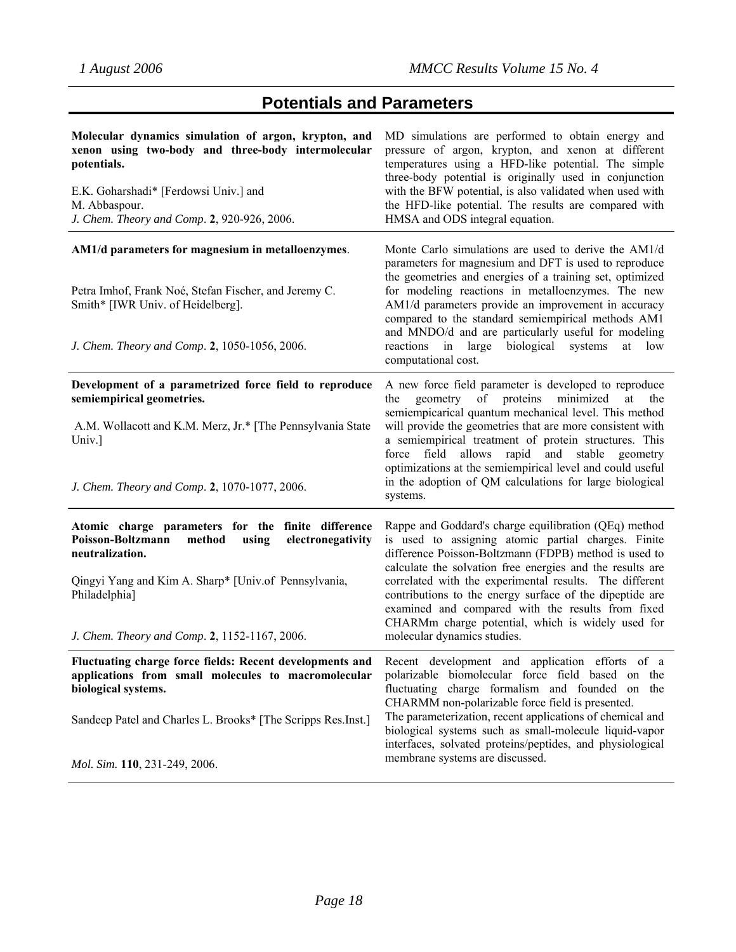# **Potentials and Parameters**

| Molecular dynamics simulation of argon, krypton, and<br>xenon using two-body and three-body intermolecular<br>potentials.<br>E.K. Goharshadi* [Ferdowsi Univ.] and<br>M. Abbaspour.<br>J. Chem. Theory and Comp. 2, 920-926, 2006.                           | MD simulations are performed to obtain energy and<br>pressure of argon, krypton, and xenon at different<br>temperatures using a HFD-like potential. The simple<br>three-body potential is originally used in conjunction<br>with the BFW potential, is also validated when used with<br>the HFD-like potential. The results are compared with<br>HMSA and ODS integral equation.                                                                                                                   |
|--------------------------------------------------------------------------------------------------------------------------------------------------------------------------------------------------------------------------------------------------------------|----------------------------------------------------------------------------------------------------------------------------------------------------------------------------------------------------------------------------------------------------------------------------------------------------------------------------------------------------------------------------------------------------------------------------------------------------------------------------------------------------|
| AM1/d parameters for magnesium in metalloenzymes.<br>Petra Imhof, Frank Noé, Stefan Fischer, and Jeremy C.<br>Smith* [IWR Univ. of Heidelberg].<br>J. Chem. Theory and Comp. 2, 1050-1056, 2006.                                                             | Monte Carlo simulations are used to derive the AM1/d<br>parameters for magnesium and DFT is used to reproduce<br>the geometries and energies of a training set, optimized<br>for modeling reactions in metalloenzymes. The new<br>AM1/d parameters provide an improvement in accuracy<br>compared to the standard semiempirical methods AM1<br>and MNDO/d and are particularly useful for modeling<br>reactions in large<br>biological<br>systems<br>at<br>low<br>computational cost.              |
| Development of a parametrized force field to reproduce<br>semiempirical geometries.<br>A.M. Wollacott and K.M. Merz, Jr.* [The Pennsylvania State<br>Univ.]<br>J. Chem. Theory and Comp. 2, 1070-1077, 2006.                                                 | A new force field parameter is developed to reproduce<br>geometry of proteins<br>minimized<br>at<br>the<br>the<br>semiempicarical quantum mechanical level. This method<br>will provide the geometries that are more consistent with<br>a semiempirical treatment of protein structures. This<br>force field allows rapid and stable geometry<br>optimizations at the semiempirical level and could useful<br>in the adoption of QM calculations for large biological<br>systems.                  |
| Atomic charge parameters for the finite difference<br>Poisson-Boltzmann<br>electronegativity<br>method<br>using<br>neutralization.<br>Qingyi Yang and Kim A. Sharp* [Univ.of Pennsylvania,<br>Philadelphia]<br>J. Chem. Theory and Comp. 2, 1152-1167, 2006. | Rappe and Goddard's charge equilibration (QEq) method<br>is used to assigning atomic partial charges. Finite<br>difference Poisson-Boltzmann (FDPB) method is used to<br>calculate the solvation free energies and the results are<br>correlated with the experimental results. The different<br>contributions to the energy surface of the dipeptide are<br>examined and compared with the results from fixed<br>CHARMm charge potential, which is widely used for<br>molecular dynamics studies. |
| Fluctuating charge force fields: Recent developments and<br>applications from small molecules to macromolecular<br>biological systems.<br>Sandeep Patel and Charles L. Brooks* [The Scripps Res.Inst.]<br>Mol. Sim. 110, 231-249, 2006.                      | Recent development and application efforts of a<br>polarizable biomolecular force field based on the<br>fluctuating charge formalism and founded on the<br>CHARMM non-polarizable force field is presented.<br>The parameterization, recent applications of chemical and<br>biological systems such as small-molecule liquid-vapor<br>interfaces, solvated proteins/peptides, and physiological<br>membrane systems are discussed.                                                                 |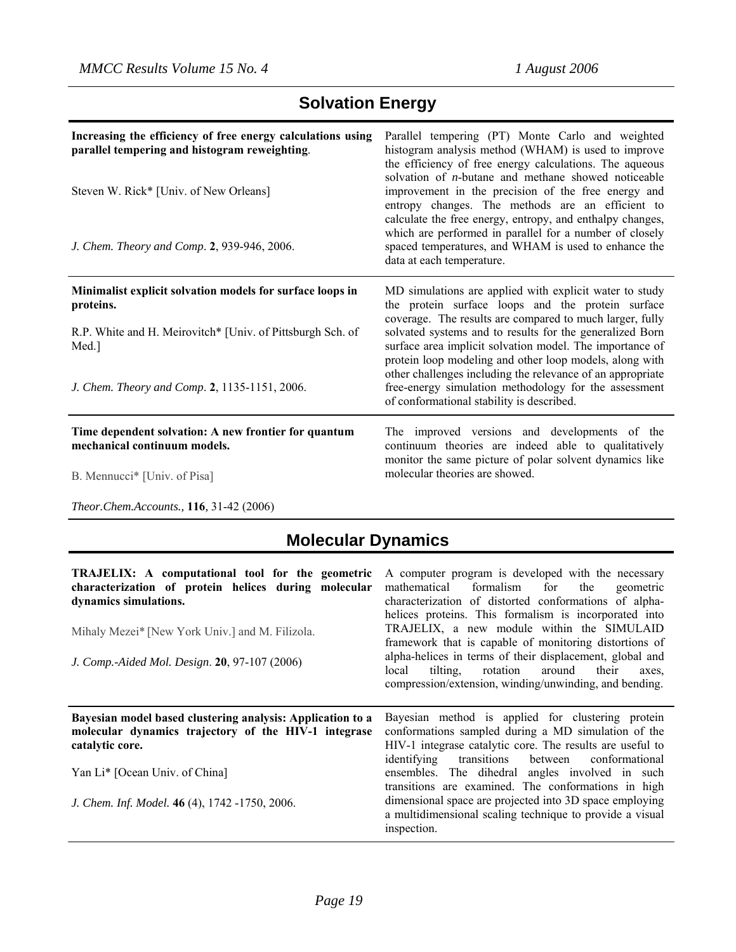*Theor.Chem.Accounts.,* **116***,* 31-42 (2006)

# **Solvation Energy**

| Increasing the efficiency of free energy calculations using<br>parallel tempering and histogram reweighting.<br>Steven W. Rick* [Univ. of New Orleans]<br>J. Chem. Theory and Comp. 2, 939-946, 2006. | Parallel tempering (PT) Monte Carlo and weighted<br>histogram analysis method (WHAM) is used to improve<br>the efficiency of free energy calculations. The aqueous<br>solvation of <i>n</i> -butane and methane showed noticeable<br>improvement in the precision of the free energy and<br>entropy changes. The methods are an efficient to<br>calculate the free energy, entropy, and enthalpy changes,<br>which are performed in parallel for a number of closely<br>spaced temperatures, and WHAM is used to enhance the<br>data at each temperature. |
|-------------------------------------------------------------------------------------------------------------------------------------------------------------------------------------------------------|-----------------------------------------------------------------------------------------------------------------------------------------------------------------------------------------------------------------------------------------------------------------------------------------------------------------------------------------------------------------------------------------------------------------------------------------------------------------------------------------------------------------------------------------------------------|
| Minimalist explicit solvation models for surface loops in<br>proteins.<br>R.P. White and H. Meirovitch* [Univ. of Pittsburgh Sch. of<br>Med.]<br>J. Chem. Theory and Comp. 2, 1135-1151, 2006.        | MD simulations are applied with explicit water to study<br>the protein surface loops and the protein surface<br>coverage. The results are compared to much larger, fully<br>solvated systems and to results for the generalized Born<br>surface area implicit solvation model. The importance of<br>protein loop modeling and other loop models, along with<br>other challenges including the relevance of an appropriate<br>free-energy simulation methodology for the assessment<br>of conformational stability is described.                           |
| Time dependent solvation: A new frontier for quantum<br>mechanical continuum models.<br>B. Mennucci <sup>*</sup> [Univ. of Pisa]                                                                      | The improved versions and developments of the<br>continuum theories are indeed able to qualitatively<br>monitor the same picture of polar solvent dynamics like<br>molecular theories are showed.                                                                                                                                                                                                                                                                                                                                                         |

# **Molecular Dynamics**

| TRAJELIX: A computational tool for the geometric<br>characterization of protein helices during molecular<br>dynamics simulations.<br>Mihaly Mezei* [New York Univ.] and M. Filizola.<br>J. Comp.-Aided Mol. Design. 20, 97-107 (2006) | A computer program is developed with the necessary<br>mathematical formalism for the<br>geometric<br>characterization of distorted conformations of alpha-<br>helices proteins. This formalism is incorporated into<br>TRAJELIX, a new module within the SIMULAID<br>framework that is capable of monitoring distortions of<br>alpha-helices in terms of their displacement, global and<br>tilting, rotation around their<br>local<br>axes.<br>compression/extension, winding/unwinding, and bending. |
|---------------------------------------------------------------------------------------------------------------------------------------------------------------------------------------------------------------------------------------|-------------------------------------------------------------------------------------------------------------------------------------------------------------------------------------------------------------------------------------------------------------------------------------------------------------------------------------------------------------------------------------------------------------------------------------------------------------------------------------------------------|
| Bayesian model based clustering analysis: Application to a<br>molecular dynamics trajectory of the HIV-1 integrase<br>catalytic core.<br>Yan Li* [Ocean Univ. of China]<br>J. Chem. Inf. Model. 46 (4), 1742 -1750, 2006.             | Bayesian method is applied for clustering protein<br>conformations sampled during a MD simulation of the<br>HIV-1 integrase catalytic core. The results are useful to<br>identifying transitions between<br>conformational<br>ensembles. The dihedral angles involved in such<br>transitions are examined. The conformations in high<br>dimensional space are projected into 3D space employing<br>a multidimensional scaling technique to provide a visual<br>inspection.                            |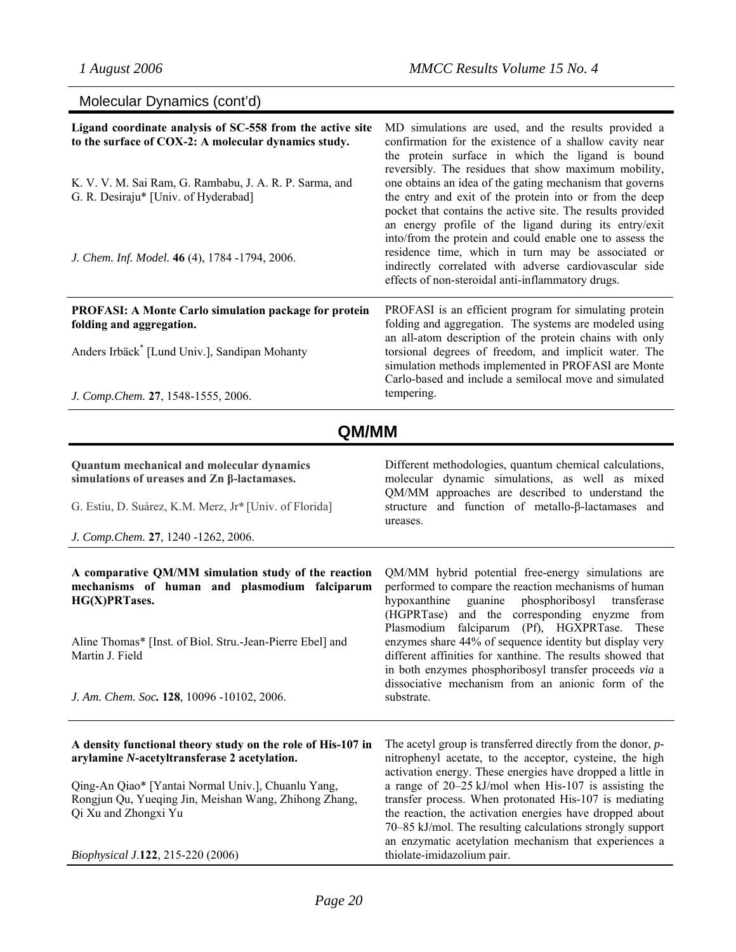|  | Molecular Dynamics (cont'd) |  |  |
|--|-----------------------------|--|--|
|--|-----------------------------|--|--|

| Ligand coordinate analysis of SC-558 from the active site<br>to the surface of COX-2: A molecular dynamics study.<br>K. V. V. M. Sai Ram, G. Rambabu, J. A. R. P. Sarma, and<br>G. R. Desiraju* [Univ. of Hyderabad]<br>J. Chem. Inf. Model. 46 (4), 1784 -1794, 2006.                  | MD simulations are used, and the results provided a<br>confirmation for the existence of a shallow cavity near<br>the protein surface in which the ligand is bound<br>reversibly. The residues that show maximum mobility,<br>one obtains an idea of the gating mechanism that governs<br>the entry and exit of the protein into or from the deep<br>pocket that contains the active site. The results provided<br>an energy profile of the ligand during its entry/exit<br>into/from the protein and could enable one to assess the<br>residence time, which in turn may be associated or<br>indirectly correlated with adverse cardiovascular side<br>effects of non-steroidal anti-inflammatory drugs. |
|-----------------------------------------------------------------------------------------------------------------------------------------------------------------------------------------------------------------------------------------------------------------------------------------|-----------------------------------------------------------------------------------------------------------------------------------------------------------------------------------------------------------------------------------------------------------------------------------------------------------------------------------------------------------------------------------------------------------------------------------------------------------------------------------------------------------------------------------------------------------------------------------------------------------------------------------------------------------------------------------------------------------|
| <b>PROFASI: A Monte Carlo simulation package for protein</b><br>folding and aggregation.<br>Anders Irbäck <sup>*</sup> [Lund Univ.], Sandipan Mohanty<br>J. Comp.Chem. 27, 1548-1555, 2006.                                                                                             | PROFASI is an efficient program for simulating protein<br>folding and aggregation. The systems are modeled using<br>an all-atom description of the protein chains with only<br>torsional degrees of freedom, and implicit water. The<br>simulation methods implemented in PROFASI are Monte<br>Carlo-based and include a semilocal move and simulated<br>tempering.                                                                                                                                                                                                                                                                                                                                       |
| QM/MM                                                                                                                                                                                                                                                                                   |                                                                                                                                                                                                                                                                                                                                                                                                                                                                                                                                                                                                                                                                                                           |
| Quantum mechanical and molecular dynamics<br>simulations of ureases and $\mathbb{Z}$ n $\beta$ -lactamases.<br>G. Estiu, D. Suárez, K.M. Merz, Jr* [Univ. of Florida]<br>J. Comp.Chem. 27, 1240 -1262, 2006.                                                                            | Different methodologies, quantum chemical calculations,<br>molecular dynamic simulations, as well as mixed<br>QM/MM approaches are described to understand the<br>structure and function of metallo-β-lactamases and<br>ureases.                                                                                                                                                                                                                                                                                                                                                                                                                                                                          |
| A comparative QM/MM simulation study of the reaction<br>mechanisms of human and plasmodium falciparum<br>HG(X)PRTases.<br>Aline Thomas* [Inst. of Biol. Stru.-Jean-Pierre Ebel] and<br>Martin J. Field<br>J. Am. Chem. Soc. 128, 10096 -10102, 2006.                                    | QM/MM hybrid potential free-energy simulations are<br>performed to compare the reaction mechanisms of human<br>hypoxanthine<br>guanine<br>phosphoribosyl<br>transferase<br>and the corresponding enyzme from<br>(HGPRTase)<br>falciparum (Pf), HGXPRTase.<br>Plasmodium<br>These<br>enzymes share 44% of sequence identity but display very<br>different affinities for xanthine. The results showed that<br>in both enzymes phosphoribosyl transfer proceeds via a<br>dissociative mechanism from an anionic form of the<br>substrate.                                                                                                                                                                   |
| A density functional theory study on the role of His-107 in<br>arylamine N-acetyltransferase 2 acetylation.<br>Qing-An Qiao* [Yantai Normal Univ.], Chuanlu Yang,<br>Rongjun Qu, Yueqing Jin, Meishan Wang, Zhihong Zhang,<br>Qi Xu and Zhongxi Yu<br>Biophysical J.122, 215-220 (2006) | The acetyl group is transferred directly from the donor, $p$ -<br>nitrophenyl acetate, to the acceptor, cysteine, the high<br>activation energy. These energies have dropped a little in<br>a range of 20–25 kJ/mol when His-107 is assisting the<br>transfer process. When protonated His-107 is mediating<br>the reaction, the activation energies have dropped about<br>70–85 kJ/mol. The resulting calculations strongly support<br>an enzymatic acetylation mechanism that experiences a<br>thiolate-imidazolium pair.                                                                                                                                                                               |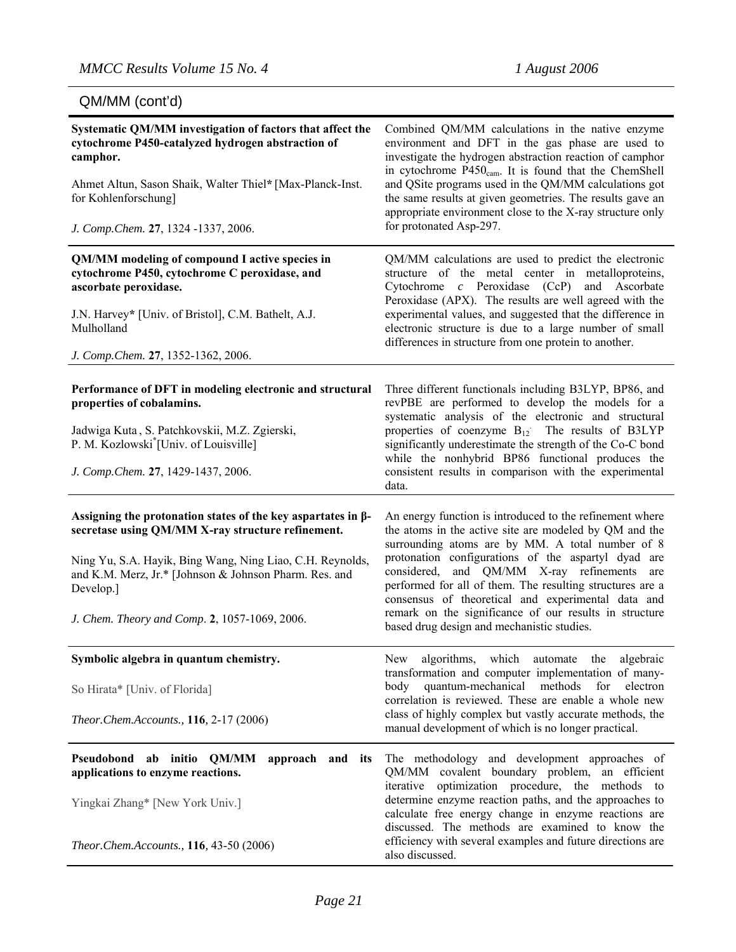| Systematic QM/MM investigation of factors that affect the<br>cytochrome P450-catalyzed hydrogen abstraction of<br>camphor.<br>Ahmet Altun, Sason Shaik, Walter Thiel* [Max-Planck-Inst.<br>for Kohlenforschung]<br>J. Comp.Chem. 27, 1324 -1337, 2006.                                                        | Combined QM/MM calculations in the native enzyme<br>environment and DFT in the gas phase are used to<br>investigate the hydrogen abstraction reaction of camphor<br>in cytochrome P450 <sub>cam</sub> . It is found that the ChemShell<br>and QSite programs used in the QM/MM calculations got<br>the same results at given geometries. The results gave an<br>appropriate environment close to the X-ray structure only<br>for protonated Asp-297.                                                       |
|---------------------------------------------------------------------------------------------------------------------------------------------------------------------------------------------------------------------------------------------------------------------------------------------------------------|------------------------------------------------------------------------------------------------------------------------------------------------------------------------------------------------------------------------------------------------------------------------------------------------------------------------------------------------------------------------------------------------------------------------------------------------------------------------------------------------------------|
| QM/MM modeling of compound I active species in<br>cytochrome P450, cytochrome C peroxidase, and<br>ascorbate peroxidase.<br>J.N. Harvey* [Univ. of Bristol], C.M. Bathelt, A.J.<br>Mulholland<br>J. Comp.Chem. 27, 1352-1362, 2006.                                                                           | QM/MM calculations are used to predict the electronic<br>structure of the metal center in metalloproteins,<br>Cytochrome c Peroxidase (CcP) and Ascorbate<br>Peroxidase (APX). The results are well agreed with the<br>experimental values, and suggested that the difference in<br>electronic structure is due to a large number of small<br>differences in structure from one protein to another.                                                                                                        |
| Performance of DFT in modeling electronic and structural<br>properties of cobalamins.<br>Jadwiga Kuta, S. Patchkovskii, M.Z. Zgierski,<br>P. M. Kozlowski <sup>*</sup> [Univ. of Louisville]<br>J. Comp.Chem. 27, 1429-1437, 2006.                                                                            | Three different functionals including B3LYP, BP86, and<br>revPBE are performed to develop the models for a<br>systematic analysis of the electronic and structural<br>properties of coenzyme $B_{12}$ The results of B3LYP<br>significantly underestimate the strength of the Co-C bond<br>while the nonhybrid BP86 functional produces the<br>consistent results in comparison with the experimental<br>data.                                                                                             |
| Assigning the protonation states of the key aspartates in $\beta$ -<br>secretase using QM/MM X-ray structure refinement.<br>Ning Yu, S.A. Hayik, Bing Wang, Ning Liao, C.H. Reynolds,<br>and K.M. Merz, Jr.* [Johnson & Johnson Pharm. Res. and<br>Develop.]<br>J. Chem. Theory and Comp. 2, 1057-1069, 2006. | An energy function is introduced to the refinement where<br>the atoms in the active site are modeled by QM and the<br>surrounding atoms are by MM. A total number of 8<br>protonation configurations of the aspartyl dyad are<br>considered, and QM/MM X-ray refinements<br>are<br>performed for all of them. The resulting structures are a<br>consensus of theoretical and experimental data and<br>remark on the significance of our results in structure<br>based drug design and mechanistic studies. |
| Symbolic algebra in quantum chemistry.<br>So Hirata* [Univ. of Florida]<br>Theor.Chem.Accounts., 116, 2-17 (2006)                                                                                                                                                                                             | New algorithms, which automate the algebraic<br>transformation and computer implementation of many-<br>quantum-mechanical<br>methods for<br>body<br>electron<br>correlation is reviewed. These are enable a whole new<br>class of highly complex but vastly accurate methods, the<br>manual development of which is no longer practical.                                                                                                                                                                   |
| Pseudobond ab initio QM/MM<br>approach and its<br>applications to enzyme reactions.<br>Yingkai Zhang* [New York Univ.]<br>Theor.Chem.Accounts., 116, 43-50 (2006)                                                                                                                                             | The methodology and development approaches of<br>QM/MM covalent boundary problem, an efficient<br>iterative optimization procedure, the methods to<br>determine enzyme reaction paths, and the approaches to<br>calculate free energy change in enzyme reactions are<br>discussed. The methods are examined to know the<br>efficiency with several examples and future directions are<br>also discussed.                                                                                                   |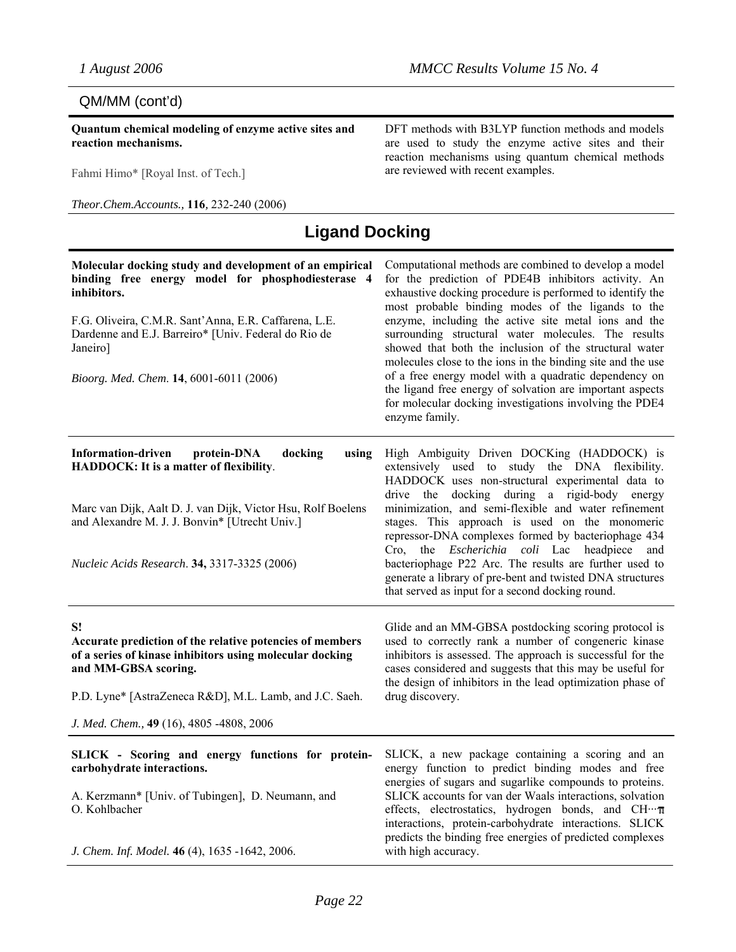## QM/MM (cont'd)

**Quantum chemical modeling of enzyme active sites and reaction mechanisms.** 

Fahmi Himo\* [Royal Inst. of Tech.]

*Theor.Chem.Accounts.,* **116***,* 232-240 (2006)

DFT methods with B3LYP function methods and models are used to study the enzyme active sites and their reaction mechanisms using quantum chemical methods are reviewed with recent examples.

## **Ligand Docking**

| Molecular docking study and development of an empirical<br>binding free energy model for phosphodiesterase 4<br>inhibitors.<br>F.G. Oliveira, C.M.R. Sant'Anna, E.R. Caffarena, L.E.<br>Dardenne and E.J. Barreiro* [Univ. Federal do Rio de<br>Janeiro]<br>Bioorg. Med. Chem. 14, 6001-6011 (2006) | Computational methods are combined to develop a model<br>for the prediction of PDE4B inhibitors activity. An<br>exhaustive docking procedure is performed to identify the<br>most probable binding modes of the ligands to the<br>enzyme, including the active site metal ions and the<br>surrounding structural water molecules. The results<br>showed that both the inclusion of the structural water<br>molecules close to the ions in the binding site and the use<br>of a free energy model with a quadratic dependency on<br>the ligand free energy of solvation are important aspects<br>for molecular docking investigations involving the PDE4<br>enzyme family. |
|-----------------------------------------------------------------------------------------------------------------------------------------------------------------------------------------------------------------------------------------------------------------------------------------------------|---------------------------------------------------------------------------------------------------------------------------------------------------------------------------------------------------------------------------------------------------------------------------------------------------------------------------------------------------------------------------------------------------------------------------------------------------------------------------------------------------------------------------------------------------------------------------------------------------------------------------------------------------------------------------|
| <b>Information-driven</b><br>protein-DNA<br>docking<br>using<br>HADDOCK: It is a matter of flexibility.<br>Marc van Dijk, Aalt D. J. van Dijk, Victor Hsu, Rolf Boelens<br>and Alexandre M. J. J. Bonvin* [Utrecht Univ.]<br>Nucleic Acids Research. 34, 3317-3325 (2006)                           | High Ambiguity Driven DOCKing (HADDOCK) is<br>extensively used to study the DNA flexibility.<br>HADDOCK uses non-structural experimental data to<br>the<br>docking<br>during a rigid-body<br>drive<br>energy<br>minimization, and semi-flexible and water refinement<br>stages. This approach is used on the monomeric<br>repressor-DNA complexes formed by bacteriophage 434<br>Cro, the <i>Escherichia coli</i> Lac headpiece<br>and<br>bacteriophage P22 Arc. The results are further used to<br>generate a library of pre-bent and twisted DNA structures<br>that served as input for a second docking round.                                                         |
| S!<br>Accurate prediction of the relative potencies of members<br>of a series of kinase inhibitors using molecular docking<br>and MM-GBSA scoring.<br>P.D. Lyne* [AstraZeneca R&D], M.L. Lamb, and J.C. Saeh.<br>J. Med. Chem., 49 (16), 4805 -4808, 2006                                           | Glide and an MM-GBSA postdocking scoring protocol is<br>used to correctly rank a number of congeneric kinase<br>inhibitors is assessed. The approach is successful for the<br>cases considered and suggests that this may be useful for<br>the design of inhibitors in the lead optimization phase of<br>drug discovery.                                                                                                                                                                                                                                                                                                                                                  |
| SLICK - Scoring and energy functions for protein-<br>carbohydrate interactions.<br>A. Kerzmann* [Univ. of Tubingen], D. Neumann, and<br>O. Kohlbacher<br>J. Chem. Inf. Model. 46 (4), 1635 -1642, 2006.                                                                                             | SLICK, a new package containing a scoring and an<br>energy function to predict binding modes and free<br>energies of sugars and sugarlike compounds to proteins.<br>SLICK accounts for van der Waals interactions, solvation<br>effects, electrostatics, hydrogen bonds, and CH.T<br>interactions, protein-carbohydrate interactions. SLICK<br>predicts the binding free energies of predicted complexes<br>with high accuracy.                                                                                                                                                                                                                                           |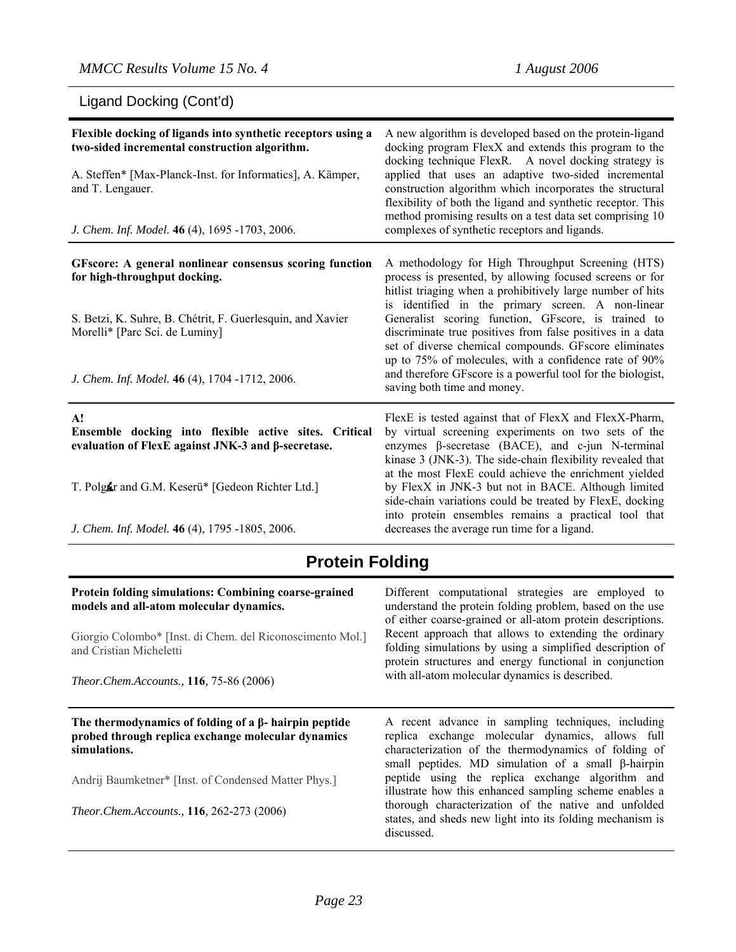| Ligand Docking (Cont'd)                                                                                                      |                                                                                                                                                                                                                                        |  |
|------------------------------------------------------------------------------------------------------------------------------|----------------------------------------------------------------------------------------------------------------------------------------------------------------------------------------------------------------------------------------|--|
| Flexible docking of ligands into synthetic receptors using a<br>two-sided incremental construction algorithm.                | A new algorithm is developed based on the protein-ligand<br>docking program FlexX and extends this program to the<br>docking technique FlexR. A novel docking strategy is                                                              |  |
| A. Steffen* [Max-Planck-Inst. for Informatics], A. Kämper,<br>and T. Lengauer.                                               | applied that uses an adaptive two-sided incremental<br>construction algorithm which incorporates the structural<br>flexibility of both the ligand and synthetic receptor. This                                                         |  |
| J. Chem. Inf. Model. 46 (4), 1695 -1703, 2006.                                                                               | method promising results on a test data set comprising 10<br>complexes of synthetic receptors and ligands.                                                                                                                             |  |
| GFscore: A general nonlinear consensus scoring function<br>for high-throughput docking.                                      | A methodology for High Throughput Screening (HTS)<br>process is presented, by allowing focused screens or for<br>hitlist triaging when a prohibitively large number of hits                                                            |  |
| S. Betzi, K. Suhre, B. Chétrit, F. Guerlesquin, and Xavier<br>Morelli* [Parc Sci. de Luminy]                                 | is identified in the primary screen. A non-linear<br>Generalist scoring function, GFscore, is trained to<br>discriminate true positives from false positives in a data<br>set of diverse chemical compounds. GFscore eliminates        |  |
| J. Chem. Inf. Model. 46 (4), 1704 -1712, 2006.                                                                               | up to 75% of molecules, with a confidence rate of 90%<br>and therefore GFscore is a powerful tool for the biologist,<br>saving both time and money.                                                                                    |  |
| $\mathbf{A}!$<br>Ensemble docking into flexible active sites. Critical<br>evaluation of FlexE against JNK-3 and β-secretase. | FlexE is tested against that of FlexX and FlexX-Pharm,<br>by virtual screening experiments on two sets of the<br>enzymes $\beta$ -secretase (BACE), and c-jun N-terminal<br>kinase 3 (JNK-3). The side-chain flexibility revealed that |  |
| T. Polgar and G.M. Keserü* [Gedeon Richter Ltd.]                                                                             | at the most FlexE could achieve the enrichment yielded<br>by FlexX in JNK-3 but not in BACE. Although limited<br>side-chain variations could be treated by FlexE, docking<br>into protein ensembles remains a practical tool that      |  |
| J. Chem. Inf. Model. 46 (4), 1795 -1805, 2006.                                                                               | decreases the average run time for a ligand.                                                                                                                                                                                           |  |

# **Protein Folding**

| Protein folding simulations: Combining coarse-grained<br>models and all-atom molecular dynamics.<br>Giorgio Colombo* [Inst. di Chem. del Riconoscimento Mol.]<br>and Cristian Micheletti<br><i>Theor.Chem.Accounts.,</i> 116, 75-86 (2006)     | Different computational strategies are employed to<br>understand the protein folding problem, based on the use<br>of either coarse-grained or all-atom protein descriptions.<br>Recent approach that allows to extending the ordinary<br>folding simulations by using a simplified description of<br>protein structures and energy functional in conjunction<br>with all-atom molecular dynamics is described.                                                               |
|------------------------------------------------------------------------------------------------------------------------------------------------------------------------------------------------------------------------------------------------|------------------------------------------------------------------------------------------------------------------------------------------------------------------------------------------------------------------------------------------------------------------------------------------------------------------------------------------------------------------------------------------------------------------------------------------------------------------------------|
| The thermodynamics of folding of a $\beta$ - hairpin peptide<br>probed through replica exchange molecular dynamics<br>simulations.<br>Andrij Baumketner* [Inst. of Condensed Matter Phys.]<br><i>Theor.Chem.Accounts.,</i> 116, 262-273 (2006) | A recent advance in sampling techniques, including<br>replica exchange molecular dynamics, allows full<br>characterization of the thermodynamics of folding of<br>small peptides. MD simulation of a small $\beta$ -hairpin<br>peptide using the replica exchange algorithm and<br>illustrate how this enhanced sampling scheme enables a<br>thorough characterization of the native and unfolded<br>states, and sheds new light into its folding mechanism is<br>discussed. |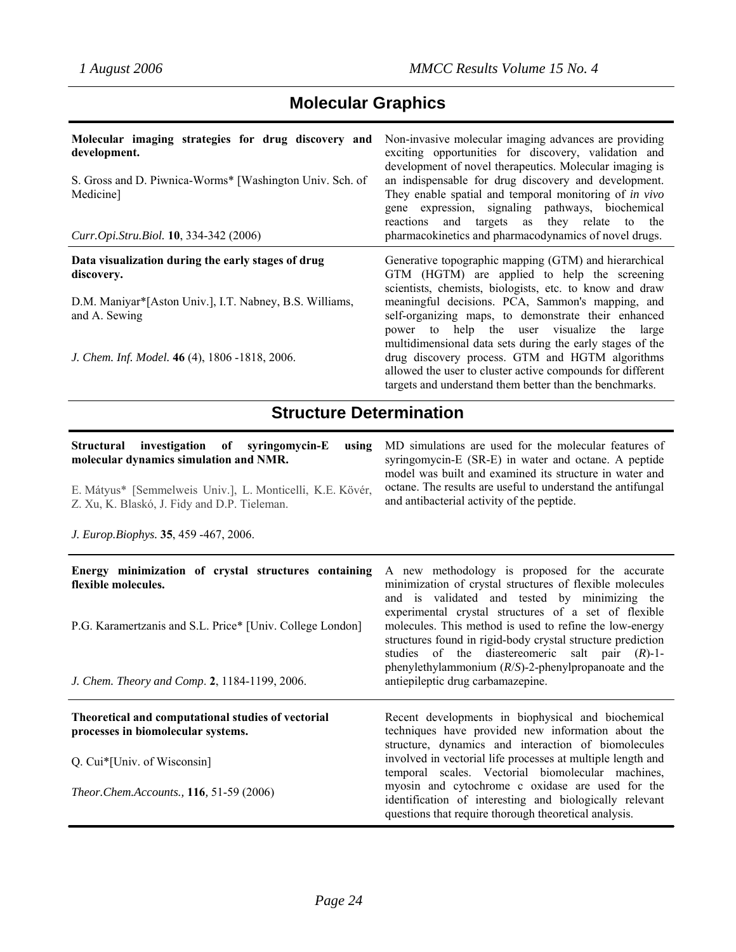# **Molecular Graphics**

| Molecular imaging strategies for drug discovery and<br>development.<br>S. Gross and D. Piwnica-Worms* [Washington Univ. Sch. of<br>Medicine]<br>Curr.Opi.Stru.Biol. 10, 334-342 (2006) | Non-invasive molecular imaging advances are providing<br>exciting opportunities for discovery, validation and<br>development of novel therapeutics. Molecular imaging is<br>an indispensable for drug discovery and development.<br>They enable spatial and temporal monitoring of in vivo<br>gene expression, signaling pathways, biochemical<br>and targets as they relate to the<br>reactions<br>pharmacokinetics and pharmacodynamics of novel drugs. |
|----------------------------------------------------------------------------------------------------------------------------------------------------------------------------------------|-----------------------------------------------------------------------------------------------------------------------------------------------------------------------------------------------------------------------------------------------------------------------------------------------------------------------------------------------------------------------------------------------------------------------------------------------------------|
| Data visualization during the early stages of drug<br>discovery.                                                                                                                       | Generative topographic mapping (GTM) and hierarchical<br>GTM (HGTM) are applied to help the screening                                                                                                                                                                                                                                                                                                                                                     |
| D.M. Maniyar*[Aston Univ.], I.T. Nabney, B.S. Williams,<br>and A. Sewing                                                                                                               | scientists, chemists, biologists, etc. to know and draw<br>meaningful decisions. PCA, Sammon's mapping, and<br>self-organizing maps, to demonstrate their enhanced                                                                                                                                                                                                                                                                                        |
| J. Chem. Inf. Model. 46 (4), 1806 -1818, 2006.                                                                                                                                         | power to help the user visualize the large<br>multidimensional data sets during the early stages of the<br>drug discovery process. GTM and HGTM algorithms<br>allowed the user to cluster active compounds for different<br>targets and understand them better than the benchmarks.                                                                                                                                                                       |

# **Structure Determination**

| Structural investigation of syringomycin-E<br>using<br>molecular dynamics simulation and NMR.<br>E. Mátyus* [Semmelweis Univ.], L. Monticelli, K.E. Kövér,<br>Z. Xu, K. Blaskó, J. Fidy and D.P. Tieleman.<br>J. Europ.Biophys. 35, 459 -467, 2006. | MD simulations are used for the molecular features of<br>syringomycin-E (SR-E) in water and octane. A peptide<br>model was built and examined its structure in water and<br>octane. The results are useful to understand the antifungal<br>and antibacterial activity of the peptide.                                                                                                                                                                                                            |
|-----------------------------------------------------------------------------------------------------------------------------------------------------------------------------------------------------------------------------------------------------|--------------------------------------------------------------------------------------------------------------------------------------------------------------------------------------------------------------------------------------------------------------------------------------------------------------------------------------------------------------------------------------------------------------------------------------------------------------------------------------------------|
| Energy minimization of crystal structures containing<br>flexible molecules.<br>P.G. Karamertzanis and S.L. Price* [Univ. College London]                                                                                                            | A new methodology is proposed for the accurate<br>minimization of crystal structures of flexible molecules<br>and is validated and tested by minimizing the<br>experimental crystal structures of a set of flexible<br>molecules. This method is used to refine the low-energy<br>structures found in rigid-body crystal structure prediction<br>studies of the diastereomeric salt pair $(R)$ -1-<br>phenylethylammonium $(R/S)$ -2-phenylpropanoate and the                                    |
| J. Chem. Theory and Comp. 2, 1184-1199, 2006.<br>Theoretical and computational studies of vectorial<br>processes in biomolecular systems.<br>Q. Cui*[Univ. of Wisconsin]<br>Theor.Chem.Accounts., 116, 51-59 (2006)                                 | antiepileptic drug carbamazepine.<br>Recent developments in biophysical and biochemical<br>techniques have provided new information about the<br>structure, dynamics and interaction of biomolecules<br>involved in vectorial life processes at multiple length and<br>temporal scales. Vectorial biomolecular machines,<br>myosin and cytochrome c oxidase are used for the<br>identification of interesting and biologically relevant<br>questions that require thorough theoretical analysis. |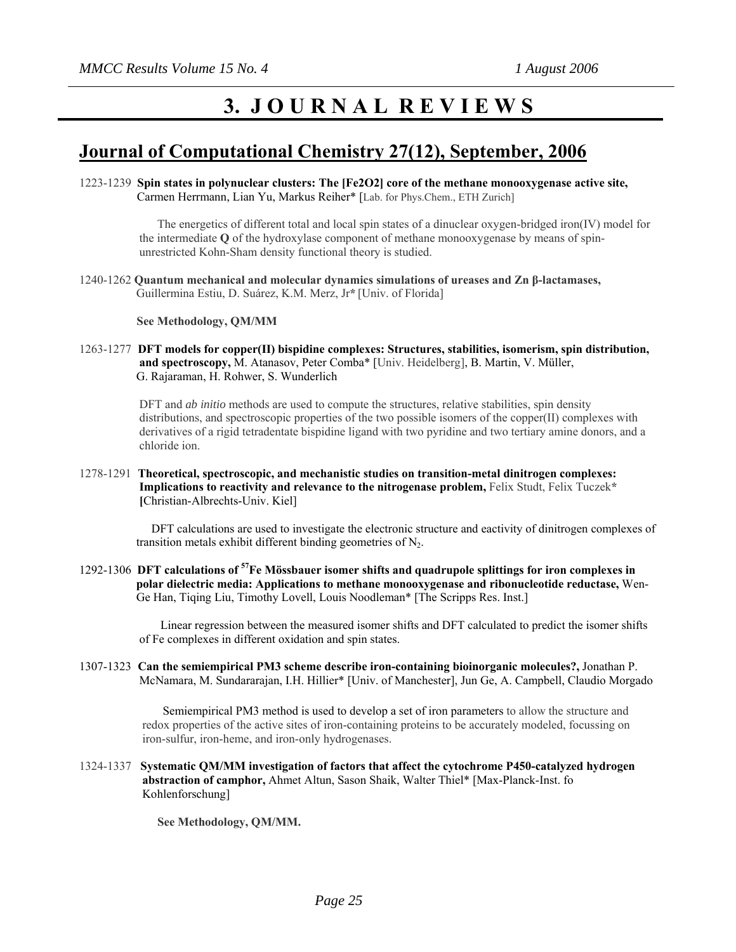# **3. J O U R N A L R E V I E W S**

## **Journal of Computational Chemistry 27(12), September, 2006**

1223-1239 **Spin states in polynuclear clusters: The [Fe2O2] core of the methane monooxygenase active site,** Carmen Herrmann, Lian Yu, Markus Reiher\* [Lab. for Phys.Chem., ETH Zurich]

> The energetics of different total and local spin states of a dinuclear oxygen-bridged iron(IV) model for the intermediate **Q** of the hydroxylase component of methane monooxygenase by means of spin unrestricted Kohn-Sham density functional theory is studied.

1240-1262 **Quantum mechanical and molecular dynamics simulations of ureases and Zn β-lactamases,** Guillermina Estiu, D. Suárez, K.M. Merz, Jr**\*** [Univ. of Florida]

 **See Methodology, QM/MM** 

1263-1277 **DFT models for copper(II) bispidine complexes: Structures, stabilities, isomerism, spin distribution, and spectroscopy,** M. Atanasov, Peter Comba\* [Univ. Heidelberg], B. Martin, V. Müller, G. Rajaraman, H. Rohwer, S. Wunderlich

> DFT and *ab initio* methods are used to compute the structures, relative stabilities, spin density distributions, and spectroscopic properties of the two possible isomers of the copper(II) complexes with derivatives of a rigid tetradentate bispidine ligand with two pyridine and two tertiary amine donors, and a chloride ion.

1278-1291 **Theoretical, spectroscopic, and mechanistic studies on transition-metal dinitrogen complexes: Implications to reactivity and relevance to the nitrogenase problem,** Felix Studt, Felix Tuczek**\* [**Christian-Albrechts-Univ. Kiel]

> DFT calculations are used to investigate the electronic structure and eactivity of dinitrogen complexes of transition metals exhibit different binding geometries of  $N_2$ .

1292-1306 **DFT calculations of 57Fe Mössbauer isomer shifts and quadrupole splittings for iron complexes in polar dielectric media: Applications to methane monooxygenase and ribonucleotide reductase,** Wen- Ge Han, Tiqing Liu, Timothy Lovell, Louis Noodleman\* [The Scripps Res. Inst.]

> Linear regression between the measured isomer shifts and DFT calculated to predict the isomer shifts of Fe complexes in different oxidation and spin states.

1307-1323 **Can the semiempirical PM3 scheme describe iron-containing bioinorganic molecules?,** Jonathan P. McNamara, M. Sundararajan, I.H. Hillier\* [Univ. of Manchester], Jun Ge, A. Campbell, Claudio Morgado

> Semiempirical PM3 method is used to develop a set of iron parameters to allow the structure and redox properties of the active sites of iron-containing proteins to be accurately modeled, focussing on iron-sulfur, iron-heme, and iron-only hydrogenases.

1324-1337 **Systematic QM/MM investigation of factors that affect the cytochrome P450-catalyzed hydrogen abstraction of camphor,** Ahmet Altun, Sason Shaik, Walter Thiel\* [Max-Planck-Inst. fo Kohlenforschung]

 **See Methodology, QM/MM.**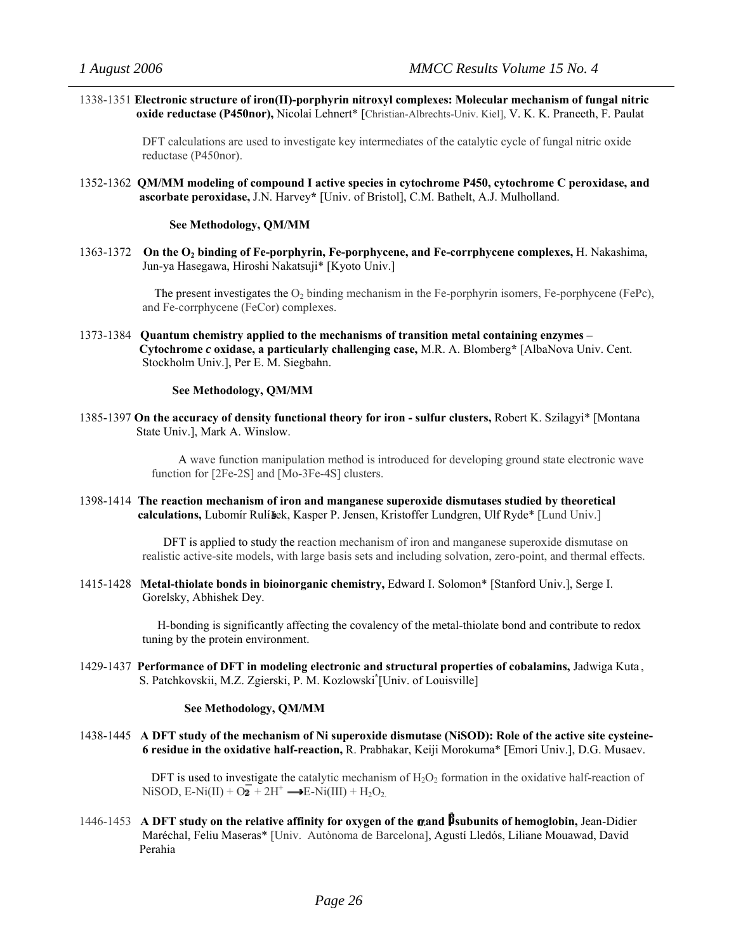1338-1351 **Electronic structure of iron(II)-porphyrin nitroxyl complexes: Molecular mechanism of fungal nitric oxide reductase (P450nor),** Nicolai Lehnert\* [Christian-Albrechts-Univ. Kiel], V. K. K. Praneeth, F. Paulat

> DFT calculations are used to investigate key intermediates of the catalytic cycle of fungal nitric oxide reductase (P450nor).

1352-1362 **QM/MM modeling of compound I active species in cytochrome P450, cytochrome C peroxidase, and ascorbate peroxidase,** J.N. Harvey**\*** [Univ. of Bristol], C.M. Bathelt, A.J. Mulholland.

#### **See Methodology, QM/MM**

1363-1372 On the O<sub>2</sub> binding of Fe-porphyrin, Fe-porphycene, and Fe-corrphycene complexes, H. Nakashima, Jun-ya Hasegawa, Hiroshi Nakatsuji\* [Kyoto Univ.]

> The present investigates the  $O<sub>2</sub>$  binding mechanism in the Fe-porphyrin isomers, Fe-porphycene (FePc), and Fe-corrphycene (FeCor) complexes.

1373-1384 **Quantum chemistry applied to the mechanisms of transition metal containing enzymes – Cytochrome** *c* **oxidase, a particularly challenging case,** M.R. A. Blomberg**\*** [AlbaNova Univ. Cent. Stockholm Univ.], Per E. M. Siegbahn.

#### **See Methodology, QM/MM**

1385-1397 **On the accuracy of density functional theory for iron - sulfur clusters,** Robert K. Szilagyi\* [Montana State Univ.], Mark A. Winslow.

> A wave function manipulation method is introduced for developing ground state electronic wave function for [2Fe-2S] and [Mo-3Fe-4S] clusters.

1398-1414 **The reaction mechanism of iron and manganese superoxide dismutases studied by theoretical calculations,** Lubomír Rulí ek, Kasper P. Jensen, Kristoffer Lundgren, Ulf Ryde\* [Lund Univ.]

> DFT is applied to study the reaction mechanism of iron and manganese superoxide dismutase on realistic active-site models, with large basis sets and including solvation, zero-point, and thermal effects.

1415-1428 **Metal-thiolate bonds in bioinorganic chemistry,** Edward I. Solomon\* [Stanford Univ.], Serge I. Gorelsky, Abhishek Dey.

> H-bonding is significantly affecting the covalency of the metal-thiolate bond and contribute to redox tuning by the protein environment.

1429-1437 **Performance of DFT in modeling electronic and structural properties of cobalamins,** Jadwiga Kuta , S. Patchkovskii, M.Z. Zgierski, P. M. Kozlowski **\*** [Univ. of Louisville]

#### **See Methodology, QM/MM**

1438-1445 **A DFT study of the mechanism of Ni superoxide dismutase (NiSOD): Role of the active site cysteine- 6 residue in the oxidative half-reaction,** R. Prabhakar, Keiji Morokuma\* [Emori Univ.], D.G. Musaev.

> DFT is used to investigate the catalytic mechanism of  $H_2O_2$  formation in the oxidative half-reaction of NiSOD, E-Ni(II) +  $O_2$ <sup>+</sup>  $2H^+ \rightarrow E-Ni(III) + H_2O_2$ .

1446-1453 **A DFT study on the relative affinity for oxygen of the and subunits of hemoglobin,** Jean-Didier Maréchal, Feliu Maseras\* [Univ. Autònoma de Barcelona], Agustí Lledós, Liliane Mouawad, David Perahia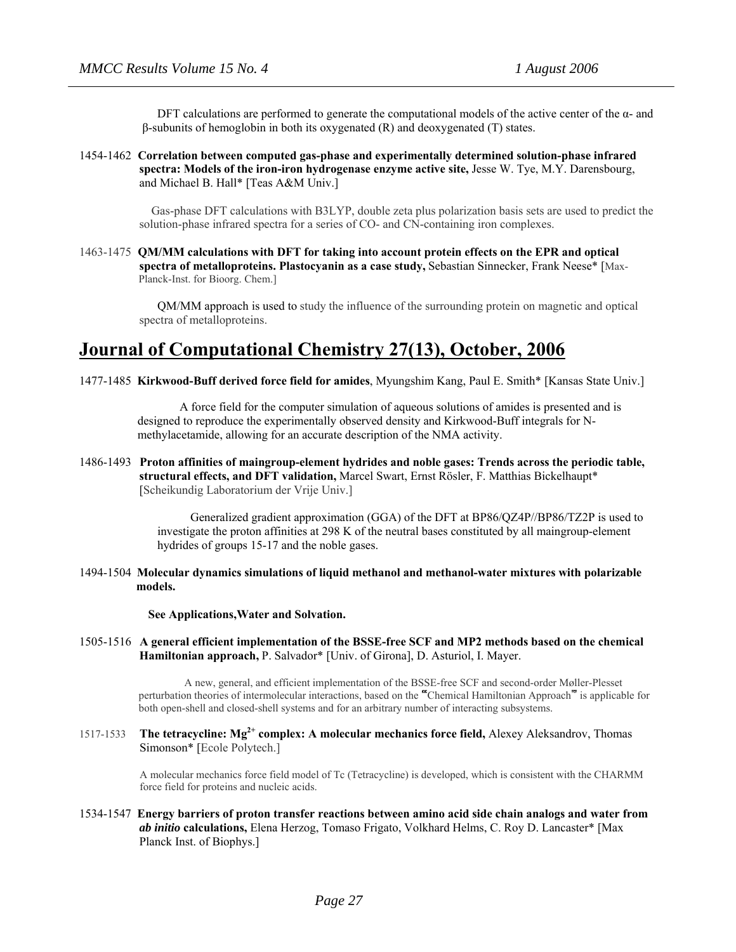DFT calculations are performed to generate the computational models of the active center of the  $\alpha$ - and β-subunits of hemoglobin in both its oxygenated (R) and deoxygenated (T) states.

1454-1462 **Correlation between computed gas-phase and experimentally determined solution-phase infrared spectra: Models of the iron-iron hydrogenase enzyme active site,** Jesse W. Tye, M.Y. Darensbourg, and Michael B. Hall\* [Teas A&M Univ.]

> Gas-phase DFT calculations with B3LYP, double zeta plus polarization basis sets are used to predict the solution-phase infrared spectra for a series of CO- and CN-containing iron complexes.

1463-1475 **QM/MM calculations with DFT for taking into account protein effects on the EPR and optical spectra of metalloproteins. Plastocyanin as a case study,** Sebastian Sinnecker, Frank Neese\* [Max- Planck-Inst. for Bioorg. Chem.]

> QM/MM approach is used to study the influence of the surrounding protein on magnetic and optical spectra of metalloproteins.

## **Journal of Computational Chemistry 27(13), October, 2006**

1477-1485 **Kirkwood-Buff derived force field for amides**, Myungshim Kang, Paul E. Smith\* [Kansas State Univ.]

 A force field for the computer simulation of aqueous solutions of amides is presented and is designed to reproduce the experimentally observed density and Kirkwood-Buff integrals for N methylacetamide, allowing for an accurate description of the NMA activity.

1486-1493 **Proton affinities of maingroup-element hydrides and noble gases: Trends across the periodic table, structural effects, and DFT validation,** Marcel Swart, Ernst Rösler, F. Matthias Bickelhaupt\* [Scheikundig Laboratorium der Vrije Univ.]

> Generalized gradient approximation (GGA) of the DFT at BP86/QZ4P//BP86/TZ2P is used to investigate the proton affinities at 298 K of the neutral bases constituted by all maingroup-element hydrides of groups 15-17 and the noble gases.

1494-1504 **Molecular dynamics simulations of liquid methanol and methanol-water mixtures with polarizable models.** 

 **See Applications,Water and Solvation.**

1505-1516 **A general efficient implementation of the BSSE-free SCF and MP2 methods based on the chemical Hamiltonian approach,** P. Salvador\* [Univ. of Girona], D. Asturiol, I. Mayer.

> A new, general, and efficient implementation of the BSSE-free SCF and second-order Møller-Plesset perturbation theories of intermolecular interactions, based on the "Chemical Hamiltonian Approach" is applicable for both open-shell and closed-shell systems and for an arbitrary number of interacting subsystems.

1517-1533 **The tetracycline: Mg2+ complex: A molecular mechanics force field,** Alexey Aleksandrov, Thomas Simonson\* [Ecole Polytech.]

> A molecular mechanics force field model of Tc (Tetracycline) is developed, which is consistent with the CHARMM force field for proteins and nucleic acids.

1534-1547 **Energy barriers of proton transfer reactions between amino acid side chain analogs and water from** *ab initio* **calculations,** Elena Herzog, Tomaso Frigato, Volkhard Helms, C. Roy D. Lancaster\* [Max Planck Inst. of Biophys.]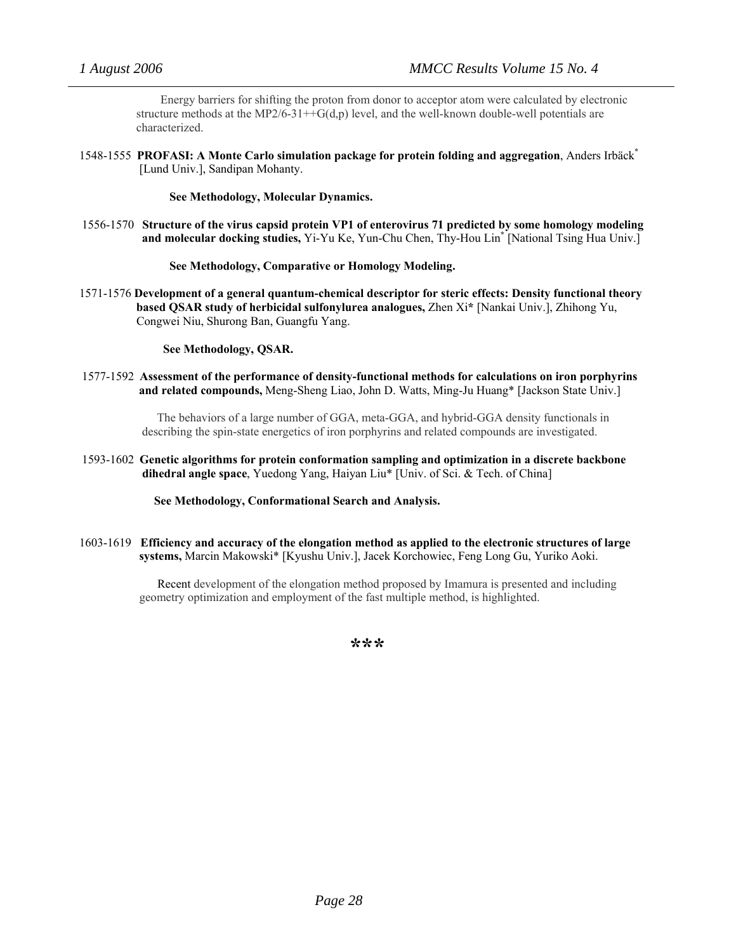Energy barriers for shifting the proton from donor to acceptor atom were calculated by electronic structure methods at the MP2/6-31++G(d,p) level, and the well-known double-well potentials are characterized.

1548-1555 **PROFASI: A Monte Carlo simulation package for protein folding and aggregation**, Anders Irbäck**\*** [Lund Univ.], Sandipan Mohanty.

#### **See Methodology, Molecular Dynamics.**

1556-1570 **Structure of the virus capsid protein VP1 of enterovirus 71 predicted by some homology modeling and molecular docking studies,** Yi-Yu Ke, Yun-Chu Chen, Thy-Hou Lin**\*** [National Tsing Hua Univ.]

#### **See Methodology, Comparative or Homology Modeling.**

1571-1576 **Development of a general quantum-chemical descriptor for steric effects: Density functional theory based QSAR study of herbicidal sulfonylurea analogues,** Zhen Xi**\*** [Nankai Univ.], Zhihong Yu, Congwei Niu, Shurong Ban, Guangfu Yang.

#### **See Methodology, QSAR.**

1577-1592 **Assessment of the performance of density-functional methods for calculations on iron porphyrins and related compounds,** Meng-Sheng Liao, John D. Watts, Ming-Ju Huang\* [Jackson State Univ.]

> The behaviors of a large number of GGA, meta-GGA, and hybrid-GGA density functionals in describing the spin-state energetics of iron porphyrins and related compounds are investigated.

1593-1602 **Genetic algorithms for protein conformation sampling and optimization in a discrete backbone dihedral angle space**, Yuedong Yang, Haiyan Liu\* [Univ. of Sci. & Tech. of China]

#### **See Methodology, Conformational Search and Analysis.**

1603-1619 **Efficiency and accuracy of the elongation method as applied to the electronic structures of large systems,** Marcin Makowski\* [Kyushu Univ.], Jacek Korchowiec, Feng Long Gu, Yuriko Aoki.

> Recent development of the elongation method proposed by Imamura is presented and including geometry optimization and employment of the fast multiple method, is highlighted.

> > **\*\*\***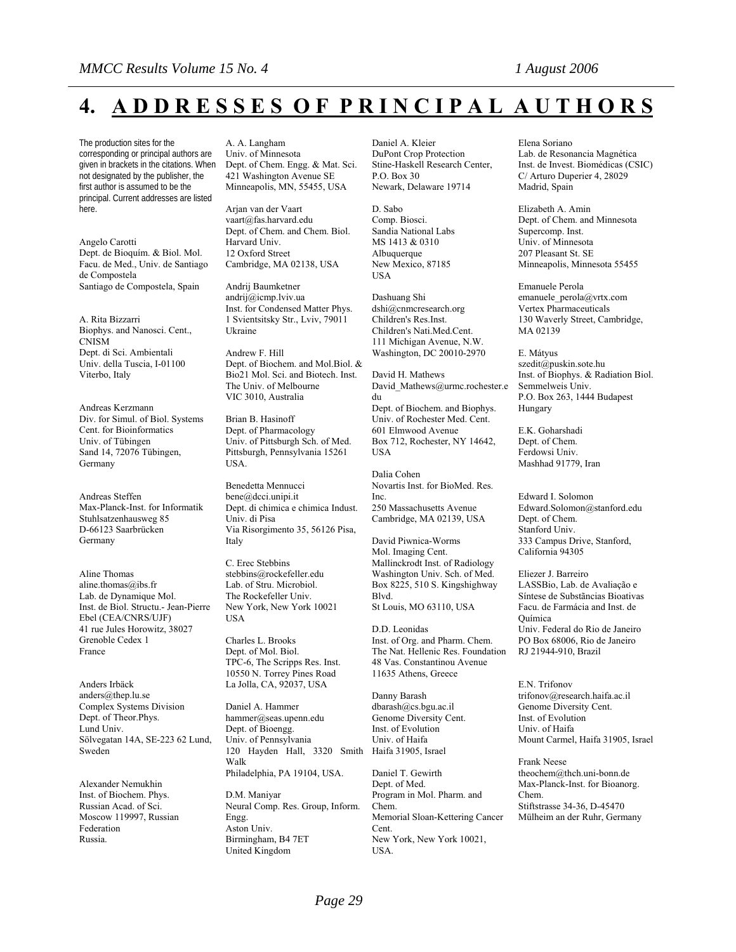# **4. A D D R E S S E S O F P R I N C I P A L A U T H O R S**

The production sites for the corresponding or principal authors are given in brackets in the citations. When not designated by the publisher, the first author is assumed to be the principal. Current addresses are listed here.

Angelo Carotti Dept. de Bioquím. & Biol. Mol. Facu. de Med., Univ. de Santiago de Compostela Santiago de Compostela, Spain

A. Rita Bizzarri Biophys. and Nanosci. Cent., CNISM Dept. di Sci. Ambientali Univ. della Tuscia, I-01100 Viterbo, Italy

Andreas Kerzmann Div. for Simul. of Biol. Systems Cent. for Bioinformatics Univ. of Tübingen Sand 14, 72076 Tübingen, Germany

Andreas Steffen Max-Planck-Inst. for Informatik Stuhlsatzenhausweg 85 D-66123 Saarbrücken Germany

Aline Thomas aline.thomas@ibs.fr Lab. de Dynamique Mol. Inst. de Biol. Structu.- Jean-Pierre Ebel (CEA/CNRS/UJF) 41 rue Jules Horowitz, 38027 Grenoble Cedex 1 France

Anders Irbäck anders@thep.lu.se Complex Systems Division Dept. of Theor.Phys. Lund Univ. Sölvegatan 14A, SE-223 62 Lund, Sweden

Alexander Nemukhin Inst. of Biochem. Phys. Russian Acad. of Sci. Moscow 119997, Russian Federation Russia.

A. A. Langham Univ. of Minnesota Dept. of Chem. Engg. & Mat. Sci. 421 Washington Avenue SE Minneapolis, MN, 55455, USA

Arjan van der Vaart vaart@fas.harvard.edu Dept. of Chem. and Chem. Biol. Harvard Univ. 12 Oxford Street Cambridge, MA 02138, USA

Andrij Baumketner andrij@icmp.lviv.ua Inst. for Condensed Matter Phys. 1 Svientsitsky Str., Lviv, 79011 Ukraine

Andrew F. Hill Dept. of Biochem. and Mol.Biol. & Bio21 Mol. Sci. and Biotech. Inst. The Univ. of Melbourne VIC 3010, Australia

Brian B. Hasinoff Dept. of Pharmacology Univ. of Pittsburgh Sch. of Med. Pittsburgh, Pennsylvania 15261 USA.

Benedetta Mennucci bene@dcci.unipi.it Dept. di chimica e chimica Indust. Univ. di Pisa Via Risorgimento 35, 56126 Pisa, Italy

C. Erec Stebbins stebbins@rockefeller.edu Lab. of Stru. Microbiol. The Rockefeller Univ. New York, New York 10021 USA

Charles L. Brooks Dept. of Mol. Biol. TPC-6, The Scripps Res. Inst. 10550 N. Torrey Pines Road La Jolla, CA, 92037, USA

Daniel A. Hammer hammer@seas.upenn.edu Dept. of Bioengg. Univ. of Pennsylvania 120 Hayden Hall, 3320 Smith Walk Philadelphia, PA 19104, USA.

D.M. Maniyar Neural Comp. Res. Group, Inform. Engg. Aston Univ. Birmingham, B4 7ET United Kingdom

Daniel A. Kleier DuPont Crop Protection Stine-Haskell Research Center, P.O. Box 30 Newark, Delaware 19714

D. Sabo Comp. Biosci. Sandia National Labs MS 1413 & 0310 Albuquerque New Mexico, 87185 USA

Dashuang Shi dshi@cnmcresearch.org Children's Res.Inst. Children's Nati.Med.Cent. 111 Michigan Avenue, N.W. Washington, DC 20010-2970

David H. Mathews David Mathews@urmc.rochester.e du Dept. of Biochem. and Biophys. Univ. of Rochester Med. Cent. 601 Elmwood Avenue Box 712, Rochester, NY 14642, USA

Dalia Cohen Novartis Inst. for BioMed. Res. Inc. 250 Massachusetts Avenue Cambridge, MA 02139, USA

David Piwnica-Worms Mol. Imaging Cent. Mallinckrodt Inst. of Radiology Washington Univ. Sch. of Med. Box 8225, 510 S. Kingshighway Blvd. St Louis, MO 63110, USA

D.D. Leonidas Inst. of Org. and Pharm. Chem. The Nat. Hellenic Res. Foundation 48 Vas. Constantinou Avenue 11635 Athens, Greece

Danny Barash dbarash@cs.bgu.ac.il Genome Diversity Cent. Inst. of Evolution Univ. of Haifa Haifa 31905, Israel

Daniel T. Gewirth Dept. of Med. Program in Mol. Pharm. and Chem. Memorial Sloan-Kettering Cancer Cent. New York, New York 10021, USA.

Elena Soriano Lab. de Resonancia Magnética Inst. de Invest. Biomédicas (CSIC) C/ Arturo Duperier 4, 28029 Madrid, Spain

Elizabeth A. Amin Dept. of Chem. and Minnesota Supercomp. Inst. Univ. of Minnesota 207 Pleasant St. SE Minneapolis, Minnesota 55455

Emanuele Perola emanuele\_perola@vrtx.com Vertex Pharmaceuticals 130 Waverly Street, Cambridge, MA 02139

E. Mátyus szedit@puskin.sote.hu Inst. of Biophys. & Radiation Biol. Semmelweis Univ. P.O. Box 263, 1444 Budapest Hungary

E.K. Goharshadi Dept. of Chem. Ferdowsi Univ. Mashhad 91779, Iran

Edward I. Solomon Edward.Solomon@stanford.edu Dept. of Chem. Stanford Univ. 333 Campus Drive, Stanford, California 94305

Eliezer J. Barreiro LASSBio, Lab. de Avaliação e Síntese de Substãncias Bioativas Facu. de Farmácia and Inst. de Química Univ. Federal do Rio de Janeiro PO Box 68006, Rio de Janeiro RJ 21944-910, Brazil

E.N. Trifonov trifonov@research.haifa.ac.il Genome Diversity Cent. Inst. of Evolution Univ. of Haifa Mount Carmel, Haifa 31905, Israel

Frank Neese theochem@thch.uni-bonn.de Max-Planck-Inst. for Bioanorg. Chem. Stiftstrasse 34-36, D-45470 Mülheim an der Ruhr, Germany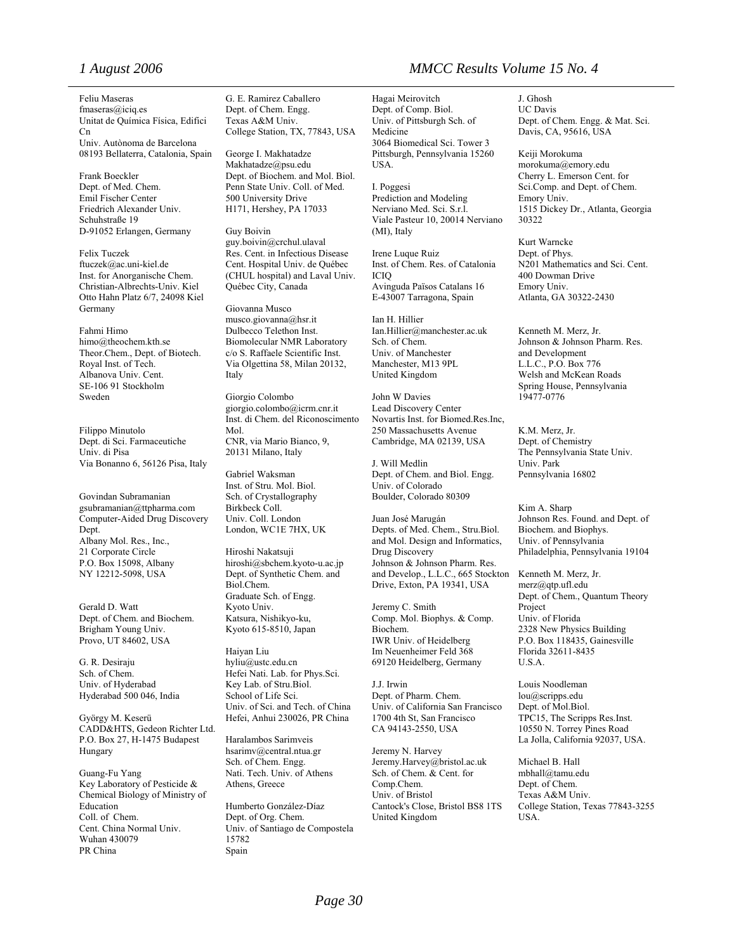Feliu Maseras fmaseras@iciq.es Unitat de Química Física, Edifici Cn Univ. Autònoma de Barcelona 08193 Bellaterra, Catalonia, Spain

Frank Boeckler Dept. of Med. Chem. Emil Fischer Center Friedrich Alexander Univ. Schuhstraße 19 D-91052 Erlangen, Germany

Felix Tuczek ftuczek@ac.uni-kiel.de Inst. for Anorganische Chem. Christian-Albrechts-Univ. Kiel Otto Hahn Platz 6/7, 24098 Kiel Germany

Fahmi Himo himo@theochem.kth.se Theor.Chem., Dept. of Biotech. Royal Inst. of Tech. Albanova Univ. Cent. SE-106 91 Stockholm Sweden

Filippo Minutolo Dept. di Sci. Farmaceutiche Univ. di Pisa Via Bonanno 6, 56126 Pisa, Italy

Govindan Subramanian gsubramanian@ttpharma.com Computer-Aided Drug Discovery Dept. Albany Mol. Res., Inc., 21 Corporate Circle P.O. Box 15098, Albany NY 12212-5098, USA

Gerald D. Watt Dept. of Chem. and Biochem. Brigham Young Univ. Provo, UT 84602, USA

G. R. Desiraju Sch. of Chem. Univ. of Hyderabad Hyderabad 500 046, India

György M. Keserü CADD&HTS, Gedeon Richter Ltd. P.O. Box 27, H-1475 Budapest Hungary

Guang-Fu Yang Key Laboratory of Pesticide & Chemical Biology of Ministry of Education Coll. of Chem. Cent. China Normal Univ. Wuhan 430079 PR China

G. E. Ramirez Caballero Dept. of Chem. Engg. Texas A&M Univ. College Station, TX, 77843, USA

George I. Makhatadze Makhatadze@psu.edu Dept. of Biochem. and Mol. Biol. Penn State Univ. Coll. of Med. 500 University Drive H171, Hershey, PA 17033

Guy Boivin guy.boivin@crchul.ulaval Res. Cent. in Infectious Disease Cent. Hospital Univ. de Québec (CHUL hospital) and Laval Univ. Québec City, Canada

Giovanna Musco musco.giovanna@hsr.it Dulbecco Telethon Inst. Biomolecular NMR Laboratory c/o S. Raffaele Scientific Inst. Via Olgettina 58, Milan 20132, Italy

Giorgio Colombo giorgio.colombo@icrm.cnr.it Inst. di Chem. del Riconoscimento Mol. CNR, via Mario Bianco, 9, 20131 Milano, Italy

Gabriel Waksman Inst. of Stru. Mol. Biol. Sch. of Crystallography Birkbeck Coll. Univ. Coll. London London, WC1E 7HX, UK

Hiroshi Nakatsuji hiroshi@sbchem.kyoto-u.ac.jp Dept. of Synthetic Chem. and Biol.Chem. Graduate Sch. of Engg. Kyoto Univ. Katsura, Nishikyo-ku, Kyoto 615-8510, Japan

Haiyan Liu hyliu@ustc.edu.cn Hefei Nati. Lab. for Phys.Sci. Key Lab. of Stru.Biol. School of Life Sci. Univ. of Sci. and Tech. of China Hefei, Anhui 230026, PR China

Haralambos Sarimveis hsarimv@central.ntua.gr Sch. of Chem. Engg. Nati. Tech. Univ. of Athens Athens, Greece

Humberto González-Díaz Dept. of Org. Chem. Univ. of Santiago de Compostela 15782 Spain

### *1 August 2006 MMCC Results Volume 15 No. 4*

Hagai Meirovitch Dept. of Comp. Biol. Univ. of Pittsburgh Sch. of Medicine 3064 Biomedical Sci. Tower 3 Pittsburgh, Pennsylvania 15260 USA.

I. Poggesi Prediction and Modeling Nerviano Med. Sci. S.r.l. Viale Pasteur 10, 20014 Nerviano (MI), Italy

Irene Luque Ruiz Inst. of Chem. Res. of Catalonia ICIQ Avinguda Països Catalans 16 E-43007 Tarragona, Spain

Ian H. Hillier  Ian.Hillier@manchester.ac.uk Sch. of Chem. Univ. of Manchester Manchester, M13 9PL United Kingdom

John W Davies Lead Discovery Center Novartis Inst. for Biomed.Res.Inc, 250 Massachusetts Avenue Cambridge, MA 02139, USA

J. Will Medlin Dept. of Chem. and Biol. Engg. Univ. of Colorado Boulder, Colorado 80309

Juan José Marugán Depts. of Med. Chem., Stru.Biol. and Mol. Design and Informatics, Drug Discovery Johnson & Johnson Pharm. Res. and Develop., L.L.C., 665 Stockton Drive, Exton, PA 19341, USA

Jeremy C. Smith Comp. Mol. Biophys. & Comp. Biochem. IWR Univ. of Heidelberg Im Neuenheimer Feld 368 69120 Heidelberg, Germany

J.J. Irwin Dept. of Pharm. Chem. Univ. of California San Francisco 1700 4th St, San Francisco CA 94143-2550, USA

Jeremy N. Harvey Jeremy.Harvey@bristol.ac.uk Sch. of Chem. & Cent. for Comp.Chem. Univ. of Bristol Cantock's Close, Bristol BS8 1TS United Kingdom

J. Ghosh UC Davis Dept. of Chem. Engg. & Mat. Sci. Davis, CA, 95616, USA

Keiji Morokuma morokuma@emory.edu Cherry L. Emerson Cent. for Sci.Comp. and Dept. of Chem. Emory Univ. 1515 Dickey Dr., Atlanta, Georgia 30322

Kurt Warncke Dept. of Phys. N201 Mathematics and Sci. Cent. 400 Dowman Drive Emory Univ. Atlanta, GA 30322-2430

Kenneth M. Merz, Jr. Johnson & Johnson Pharm. Res. and Development L.L.C., P.O. Box 776 Welsh and McKean Roads Spring House, Pennsylvania 19477-0776

K.M. Merz, Jr. Dept. of Chemistry The Pennsylvania State Univ. Univ. Park Pennsylvania 16802

Kim A. Sharp Johnson Res. Found. and Dept. of Biochem. and Biophys. Univ. of Pennsylvania Philadelphia, Pennsylvania 19104

Kenneth M. Merz, Jr. merz@qtp.ufl.edu Dept. of Chem., Quantum Theory Project Univ. of Florida 2328 New Physics Building P.O. Box 118435, Gainesville Florida 32611-8435 U.S.A.

Louis Noodleman lou@scripps.edu Dept. of Mol.Biol. TPC15, The Scripps Res.Inst. 10550 N. Torrey Pines Road La Jolla, California 92037, USA.

Michael B. Hall mbhall@tamu.edu Dept. of Chem. Texas A&M Univ. College Station, Texas 77843-3255 USA.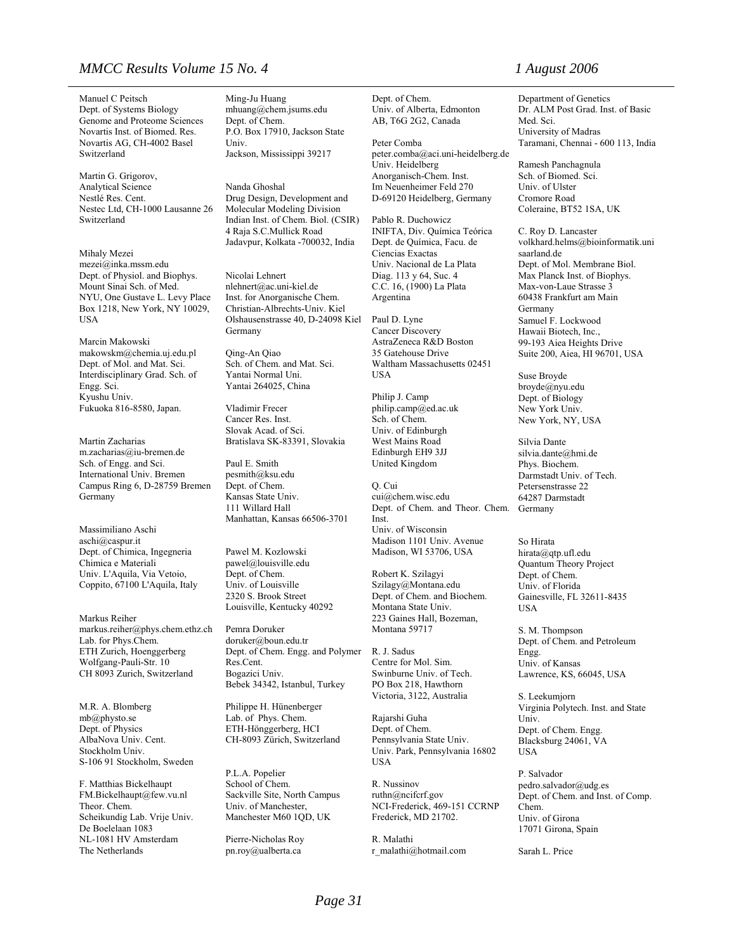#### *MMCC Results Volume 15 No. 4 1 August 2006*

Manuel C Peitsch Dept. of Systems Biology Genome and Proteome Sciences Novartis Inst. of Biomed. Res. Novartis AG, CH-4002 Basel Switzerland

Martin G. Grigorov, Analytical Science Nestlé Res. Cent. Nestec Ltd, CH-1000 Lausanne 26 Switzerland

Mihaly Mezei mezei@inka.mssm.edu Dept. of Physiol. and Biophys. Mount Sinai Sch. of Med. NYU, One Gustave L. Levy Place Box 1218, New York, NY 10029, USA

Marcin Makowski  makowskm@chemia.uj.edu.pl Dept. of Mol. and Mat. Sci. Interdisciplinary Grad. Sch. of Engg. Sci. Kyushu Univ. Fukuoka 816-8580, Japan.

Martin Zacharias m.zacharias@iu-bremen.de Sch. of Engg. and Sci. International Univ. Bremen Campus Ring 6, D-28759 Bremen Germany

Massimiliano Aschi aschi@caspur.it Dept. of Chimica, Ingegneria Chimica e Materiali Univ. L'Aquila, Via Vetoio, Coppito, 67100 L'Aquila, Italy

Markus Reiher markus.reiher@phys.chem.ethz.ch Lab. for Phys.Chem. ETH Zurich, Hoenggerberg Wolfgang-Pauli-Str. 10 CH 8093 Zurich, Switzerland

M.R. A. Blomberg mb@physto.se Dept. of Physics AlbaNova Univ. Cent. Stockholm Univ. S-106 91 Stockholm, Sweden

F. Matthias Bickelhaupt FM.Bickelhaupt@few.vu.nl Theor. Chem. Scheikundig Lab. Vrije Univ. De Boelelaan 1083 NL-1081 HV Amsterdam The Netherlands

Ming-Ju Huang mhuang@chem.jsums.edu Dept. of Chem. P.O. Box 17910, Jackson State Univ. Jackson, Mississippi 39217

Nanda Ghoshal Drug Design, Development and Molecular Modeling Division Indian Inst. of Chem. Biol. (CSIR) 4 Raja S.C.Mullick Road Jadavpur, Kolkata -700032, India

Nicolai Lehnert nlehnert@ac.uni-kiel.de Inst. for Anorganische Chem. Christian-Albrechts-Univ. Kiel Olshausenstrasse 40, D-24098 Kiel Germany

Qing-An Qiao Sch. of Chem. and Mat. Sci. Yantai Normal Uni. Yantai 264025, China

Vladimir Frecer Cancer Res. Inst. Slovak Acad. of Sci. Bratislava SK-83391, Slovakia

Paul E. Smith pesmith@ksu.edu Dept. of Chem. Kansas State Univ. 111 Willard Hall Manhattan, Kansas 66506-3701

Pawel M. Kozlowski pawel@louisville.edu Dept. of Chem. Univ. of Louisville 2320 S. Brook Street Louisville, Kentucky 40292

Pemra Doruker doruker@boun.edu.tr Dept. of Chem. Engg. and Polymer Res.Cent. Bogazici Univ. Bebek 34342, Istanbul, Turkey

Philippe H. Hünenberger Lab. of Phys. Chem. ETH-Hönggerberg, HCI CH-8093 Zürich, Switzerland

P.L.A. Popelier School of Chem. Sackville Site, North Campus Univ. of Manchester, Manchester M60 1QD, UK

Pierre-Nicholas Roy pn.roy@ualberta.ca

Dept. of Chem. Univ. of Alberta, Edmonton AB, T6G 2G2, Canada

Peter Comba peter.comba@aci.uni-heidelberg.de .<br>Univ. Heidelberg Anorganisch-Chem. Inst. Im Neuenheimer Feld 270 D-69120 Heidelberg, Germany

Pablo R. Duchowicz INIFTA, Div. Química Teórica Dept. de Química, Facu. de Ciencias Exactas Univ. Nacional de La Plata Diag. 113 y 64, Suc. 4 C.C. 16, (1900) La Plata Argentina

Paul D. Lyne Cancer Discovery AstraZeneca R&D Boston 35 Gatehouse Drive Waltham Massachusetts 02451 USA

Philip J. Camp philip.camp@ed.ac.uk Sch. of Chem. Univ. of Edinburgh West Mains Road Edinburgh EH9 3JJ United Kingdom

Q. Cui cui@chem.wisc.edu Dept. of Chem. and Theor. Chem. Inst. Univ. of Wisconsin Madison 1101 Univ. Avenue

Robert K. Szilagyi Szilagy@Montana.edu Dept. of Chem. and Biochem. Montana State Univ. 223 Gaines Hall, Bozeman, Montana 59717

Madison, WI 53706, USA

R. J. Sadus Centre for Mol. Sim. Swinburne Univ. of Tech. PO Box 218, Hawthorn Victoria, 3122, Australia

Rajarshi Guha Dept. of Chem. Pennsylvania State Univ. Univ. Park, Pennsylvania 16802 USA

R. Nussinov ruthn@ncifcrf.gov NCI-Frederick, 469-151 CCRNP Frederick, MD 21702.

R. Malathi r\_malathi@hotmail.com

Department of Genetics Dr. ALM Post Grad. Inst. of Basic Med. Sci. University of Madras Taramani, Chennai - 600 113, India

Ramesh Panchagnula Sch. of Biomed. Sci. Univ. of Ulster Cromore Road Coleraine, BT52 1SA, UK

C. Roy D. Lancaster volkhard.helms@bioinformatik.uni saarland.de Dept. of Mol. Membrane Biol. Max Planck Inst. of Biophys. Max-von-Laue Strasse 3 60438 Frankfurt am Main Germany Samuel F. Lockwood Hawaii Biotech, Inc., 99-193 Aiea Heights Drive Suite 200, Aiea, HI 96701, USA

Suse Broyde broyde@nyu.edu Dept. of Biology New York Univ. New York, NY, USA

Silvia Dante silvia.dante@hmi.de Phys. Biochem. Darmstadt Univ. of Tech. Petersenstrasse 22 64287 Darmstadt Germany

So Hirata hirata@qtp.ufl.edu Quantum Theory Project Dept. of Chem. Univ. of Florida Gainesville, FL 32611-8435 USA

S. M. Thompson Dept. of Chem. and Petroleum Engg. Univ. of Kansas Lawrence, KS, 66045, USA

S. Leekumjorn Virginia Polytech. Inst. and State Univ. Dept. of Chem. Engg. Blacksburg 24061, VA USA

P. Salvador pedro.salvador@udg.es Dept. of Chem. and Inst. of Comp. Chem. Univ. of Girona 17071 Girona, Spain

Sarah L. Price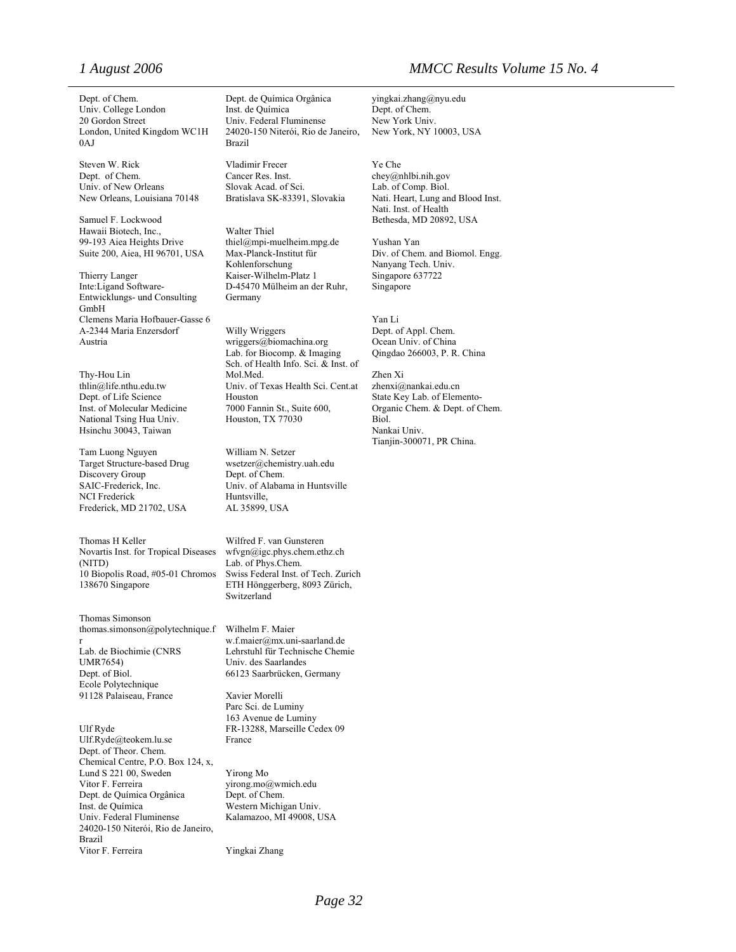London, United Kingdom WC1H 0AJ

Steven W. Rick Vladimir Frecer Ye Che<br>
Dept. of Chem. Cancer Res. Inst. chey@r Univ. of New Orleans Slovak Acad. of Sci. Lab. of Comp. Biol.<br>New Orleans, Louisiana 70148 Bratislava SK-83391, Slovakia Nati. Heart, Lung ar

Hawaii Biotech, Inc., Walter Thiel<br>
99-193 Aiea Heights Drive thiel@mpi-m

Inte:Ligand Software-<br>
D-45470 Mülheim an der Ruhr, Singapore Entwicklungs- und Consulting GmbH Clemens Maria Hofbauer-Gasse 6 Yan Li<br>
A-2344 Maria Enzersdorf Willy Wriggers Dept. of Appl. Chem. A-2344 Maria Enzersdorf

Inst. of Molecular Medicine National Tsing Hua Univ. Houston, TX 77030 Hsinchu 30043, Taiwan Nankai Univ.

Tam Luong Nguyen Target Structure-based Drug Discovery Group NCI Frederick Huntsville,<br>Frederick, MD 21702, USA AL 35899, USA Frederick, MD 21702, USA

Thomas H Keller Wilfred F. van Gunsteren Novartis Inst. for Tropical Diseases (NITD) 10 Biopolis Road, #05-01 Chromos 138670 Singapore

Thomas Simonson thomas.simonson@polytechnique.f r Lab. de Biochimie (CNRS Lehrstuhl für Technische Chemie UMR7654) Univ. des Saarlandes<br>
Dept. of Biol. 66123 Saarbrücken, 0 Ecole Polytechnique 91128 Palaiseau, France Xavier Morelli

Ulf Ryde<br>
Ulf.Ryde@teokem.lu.se<br>
France<br>
France Ulf.Ryde@teokem.lu.se Dept. of Theor. Chem. Chemical Centre, P.O. Box 124, x, Lund S 221 00, Sweden Yirong Mo<br>Vitor F. Ferreira virong mo Dept. de Química Orgânica Dept. of Chem. Inst. de Química Univ. Federal Fluminense 24020-150 Niterói, Rio de Janeiro, Brazil Vitor F. Ferreira Yingkai Zhang

Dept. of Chem. Dept. de Química Orgânica yingkai.zhang@nyu.edu Univ. College London Inst. de Química Dept. of Chem.<br>
20 Gordon Street Univ. Federal Fluminense New York Univ. Univ. Federal Fluminense 24020-150 Niterói, Rio de Janeiro, New York, NY 10003, USA Brazil

Cancer Res. Inst. chey@nhlbi.nih.gov

thiel@mpi-muelheim.mpg.de Yushan Yan Max-Planck-Institut für Kohlenforschung Thierry Langer Kaiser-Wilhelm-Platz 1 Singapore 637722<br>Inte:Ligand Software- D-45470 Mülheim an der Ruhr. Singapore Germany

Austria **Materia No. 2018** wriggers@biomachina.org Coean Univ. of China Lab. for Biocomp. & Imaging Qingdao 266003, P. R. China Sch. of Health Info. Sci. & Inst. of Thy-Hou Lin Mol.Med. Zhen Xi thlin@life.nthu.edu.tw Univ. of Texas Health Sci. Cent.at zhenxi@nankai.edu.cn Dept. of Life Science Houston State Key Lab. of Elemento-<br>Inst. of Molecular Medicine 7000 Fannin St., Suite 600, Organic Chem. & Dept. of C

William N. Setzer wsetzer@chemistry.uah.edu Dept. of Chem. SAIC-Frederick, Inc. Univ. of Alabama in Huntsville

> wfvgn@igc.phys.chem.ethz.ch Lab. of Phys.Chem.<br>Swiss Federal Inst. of Tech. Zurich ETH Hönggerberg, 8093 Zürich, Switzerland

Wilhelm F. Maier w.f.maier@mx.uni-saarland.de 66123 Saarbrücken, Germany

Parc Sci. de Luminy 163 Avenue de Luminy

virong.mo@wmich.edu Western Michigan Univ. Kalamazoo, MI 49008, USA

## *1 August 2006 MMCC Results Volume 15 No. 4*

Nati. Heart, Lung and Blood Inst. Nati. Inst. of Health Samuel F. Lockwood Bethesda, MD 20892, USA

Suite 200, Aiea, HI 96701, USA Max-Planck-Institut für Div. of Chem. and Biomol. Engg. Nanyang Tech. Univ.

Organic Chem. & Dept. of Chem. Biol. Tianjin-300071, PR China.